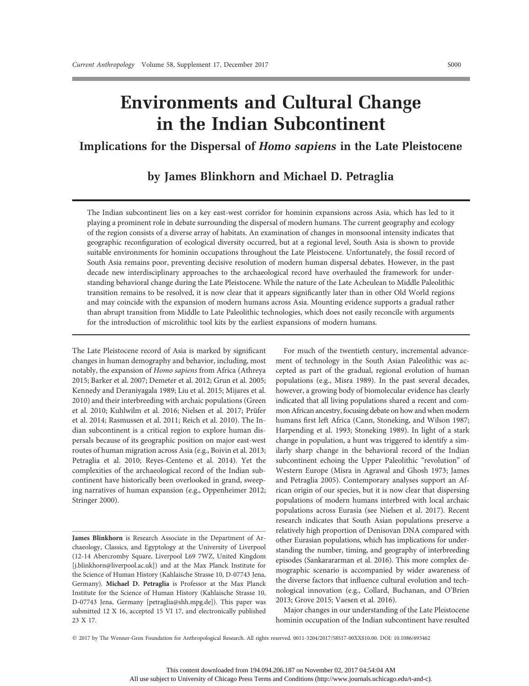# Environments and Cultural Change in the Indian Subcontinent

## Implications for the Dispersal of Homo sapiens in the Late Pleistocene

## by James Blinkhorn and Michael D. Petraglia

The Indian subcontinent lies on a key east-west corridor for hominin expansions across Asia, which has led to it playing a prominent role in debate surrounding the dispersal of modern humans. The current geography and ecology of the region consists of a diverse array of habitats. An examination of changes in monsoonal intensity indicates that geographic reconfiguration of ecological diversity occurred, but at a regional level, South Asia is shown to provide suitable environments for hominin occupations throughout the Late Pleistocene. Unfortunately, the fossil record of South Asia remains poor, preventing decisive resolution of modern human dispersal debates. However, in the past decade new interdisciplinary approaches to the archaeological record have overhauled the framework for understanding behavioral change during the Late Pleistocene. While the nature of the Late Acheulean to Middle Paleolithic transition remains to be resolved, it is now clear that it appears significantly later than in other Old World regions and may coincide with the expansion of modern humans across Asia. Mounting evidence supports a gradual rather than abrupt transition from Middle to Late Paleolithic technologies, which does not easily reconcile with arguments for the introduction of microlithic tool kits by the earliest expansions of modern humans.

The Late Pleistocene record of Asia is marked by significant changes in human demography and behavior, including, most notably, the expansion of Homo sapiens from Africa (Athreya 2015; Barker et al. 2007; Demeter et al. 2012; Grun et al. 2005; Kennedy and Deraniyagala 1989; Liu et al. 2015; Mijares et al. 2010) and their interbreeding with archaic populations (Green et al. 2010; Kuhlwilm et al. 2016; Nielsen et al. 2017; Prüfer et al. 2014; Rasmussen et al. 2011; Reich et al. 2010). The Indian subcontinent is a critical region to explore human dispersals because of its geographic position on major east-west routes of human migration across Asia (e.g., Boivin et al. 2013; Petraglia et al. 2010; Reyes-Centeno et al. 2014). Yet the complexities of the archaeological record of the Indian subcontinent have historically been overlooked in grand, sweeping narratives of human expansion (e.g., Oppenheimer 2012; Stringer 2000).

James Blinkhorn is Research Associate in the Department of Archaeology, Classics, and Egyptology at the University of Liverpool (12-14 Abercromby Square, Liverpool L69 7WZ, United Kingdom [j.blinkhorn@liverpool.ac.uk]) and at the Max Planck Institute for the Science of Human History (Kahlaische Strasse 10, D-07743 Jena, Germany). Michael D. Petraglia is Professor at the Max Planck Institute for the Science of Human History (Kahlaische Strasse 10, D-07743 Jena, Germany [petraglia@shh.mpg.de]). This paper was submitted 12 X 16, accepted 15 VI 17, and electronically published 23 X 17.

For much of the twentieth century, incremental advancement of technology in the South Asian Paleolithic was accepted as part of the gradual, regional evolution of human populations (e.g., Misra 1989). In the past several decades, however, a growing body of biomolecular evidence has clearly indicated that all living populations shared a recent and common African ancestry, focusing debate on how and when modern humans first left Africa (Cann, Stoneking, and Wilson 1987; Harpending et al. 1993; Stoneking 1989). In light of a stark change in population, a hunt was triggered to identify a similarly sharp change in the behavioral record of the Indian subcontinent echoing the Upper Paleolithic "revolution" of Western Europe (Misra in Agrawal and Ghosh 1973; James and Petraglia 2005). Contemporary analyses support an African origin of our species, but it is now clear that dispersing populations of modern humans interbred with local archaic populations across Eurasia (see Nielsen et al. 2017). Recent research indicates that South Asian populations preserve a relatively high proportion of Denisovan DNA compared with other Eurasian populations, which has implications for understanding the number, timing, and geography of interbreeding episodes (Sankarararman et al. 2016). This more complex demographic scenario is accompanied by wider awareness of the diverse factors that influence cultural evolution and technological innovation (e.g., Collard, Buchanan, and O'Brien 2013; Grove 2015; Vaesen et al. 2016).

Major changes in our understanding of the Late Pleistocene hominin occupation of the Indian subcontinent have resulted

q 2017 by The Wenner-Gren Foundation for Anthropological Research. All rights reserved. 0011-3204/2017/58S17-00XX\$10.00. DOI: 10.1086/693462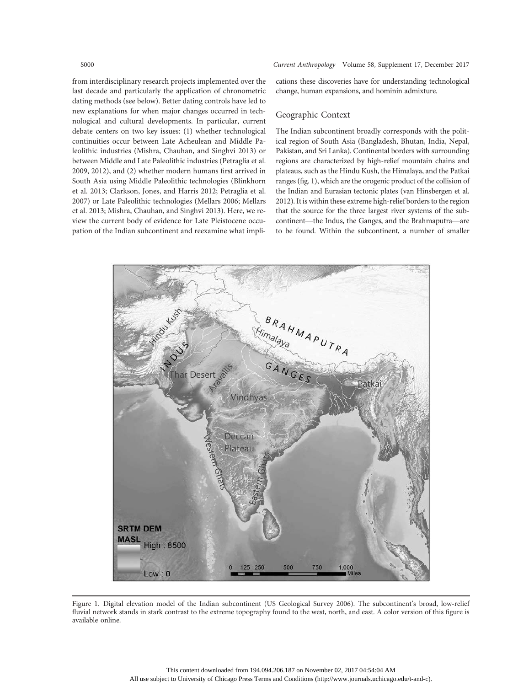from interdisciplinary research projects implemented over the last decade and particularly the application of chronometric dating methods (see below). Better dating controls have led to new explanations for when major changes occurred in technological and cultural developments. In particular, current debate centers on two key issues: (1) whether technological continuities occur between Late Acheulean and Middle Paleolithic industries (Mishra, Chauhan, and Singhvi 2013) or between Middle and Late Paleolithic industries (Petraglia et al. 2009, 2012), and (2) whether modern humans first arrived in South Asia using Middle Paleolithic technologies (Blinkhorn et al. 2013; Clarkson, Jones, and Harris 2012; Petraglia et al. 2007) or Late Paleolithic technologies (Mellars 2006; Mellars et al. 2013; Mishra, Chauhan, and Singhvi 2013). Here, we review the current body of evidence for Late Pleistocene occupation of the Indian subcontinent and reexamine what implications these discoveries have for understanding technological change, human expansions, and hominin admixture.

#### Geographic Context

The Indian subcontinent broadly corresponds with the political region of South Asia (Bangladesh, Bhutan, India, Nepal, Pakistan, and Sri Lanka). Continental borders with surrounding regions are characterized by high-relief mountain chains and plateaus, such as the Hindu Kush, the Himalaya, and the Patkai ranges (fig. 1), which are the orogenic product of the collision of the Indian and Eurasian tectonic plates (van Hinsbergen et al. 2012). It is within these extreme high-relief borders to the region that the source for the three largest river systems of the subcontinent—the Indus, the Ganges, and the Brahmaputra—are to be found. Within the subcontinent, a number of smaller



Figure 1. Digital elevation model of the Indian subcontinent (US Geological Survey 2006). The subcontinent's broad, low-relief fluvial network stands in stark contrast to the extreme topography found to the west, north, and east. A color version of this figure is available online.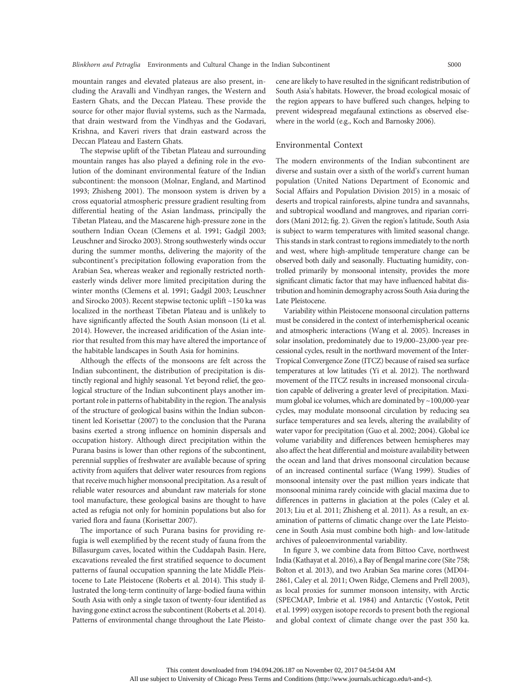mountain ranges and elevated plateaus are also present, including the Aravalli and Vindhyan ranges, the Western and Eastern Ghats, and the Deccan Plateau. These provide the source for other major fluvial systems, such as the Narmada, that drain westward from the Vindhyas and the Godavari, Krishna, and Kaveri rivers that drain eastward across the Deccan Plateau and Eastern Ghats.

The stepwise uplift of the Tibetan Plateau and surrounding mountain ranges has also played a defining role in the evolution of the dominant environmental feature of the Indian subcontinent: the monsoon (Molnar, England, and Martinod 1993; Zhisheng 2001). The monsoon system is driven by a cross equatorial atmospheric pressure gradient resulting from differential heating of the Asian landmass, principally the Tibetan Plateau, and the Mascarene high-pressure zone in the southern Indian Ocean (Clemens et al. 1991; Gadgil 2003; Leuschner and Sirocko 2003). Strong southwesterly winds occur during the summer months, delivering the majority of the subcontinent's precipitation following evaporation from the Arabian Sea, whereas weaker and regionally restricted northeasterly winds deliver more limited precipitation during the winter months (Clemens et al. 1991; Gadgil 2003; Leuschner and Sirocko 2003). Recent stepwise tectonic uplift ~150 ka was localized in the northeast Tibetan Plateau and is unlikely to have significantly affected the South Asian monsoon (Li et al. 2014). However, the increased aridification of the Asian interior that resulted from this may have altered the importance of the habitable landscapes in South Asia for hominins.

Although the effects of the monsoons are felt across the Indian subcontinent, the distribution of precipitation is distinctly regional and highly seasonal. Yet beyond relief, the geological structure of the Indian subcontinent plays another important role in patterns of habitability in the region. The analysis of the structure of geological basins within the Indian subcontinent led Korisettar (2007) to the conclusion that the Purana basins exerted a strong influence on hominin dispersals and occupation history. Although direct precipitation within the Purana basins is lower than other regions of the subcontinent, perennial supplies of freshwater are available because of spring activity from aquifers that deliver water resources from regions that receive much higher monsoonal precipitation. As a result of reliable water resources and abundant raw materials for stone tool manufacture, these geological basins are thought to have acted as refugia not only for hominin populations but also for varied flora and fauna (Korisettar 2007).

The importance of such Purana basins for providing refugia is well exemplified by the recent study of fauna from the Billasurgum caves, located within the Cuddapah Basin. Here, excavations revealed the first stratified sequence to document patterns of faunal occupation spanning the late Middle Pleistocene to Late Pleistocene (Roberts et al. 2014). This study illustrated the long-term continuity of large-bodied fauna within South Asia with only a single taxon of twenty-four identified as having gone extinct across the subcontinent (Roberts et al. 2014). Patterns of environmental change throughout the Late Pleistocene are likely to have resulted in the significant redistribution of South Asia's habitats. However, the broad ecological mosaic of the region appears to have buffered such changes, helping to prevent widespread megafaunal extinctions as observed elsewhere in the world (e.g., Koch and Barnosky 2006).

### Environmental Context

The modern environments of the Indian subcontinent are diverse and sustain over a sixth of the world's current human population (United Nations Department of Economic and Social Affairs and Population Division 2015) in a mosaic of deserts and tropical rainforests, alpine tundra and savannahs, and subtropical woodland and mangroves, and riparian corridors (Mani 2012; fig. 2). Given the region's latitude, South Asia is subject to warm temperatures with limited seasonal change. This stands in stark contrast to regions immediately to the north and west, where high-amplitude temperature change can be observed both daily and seasonally. Fluctuating humidity, controlled primarily by monsoonal intensity, provides the more significant climatic factor that may have influenced habitat distribution and hominin demography across South Asia during the Late Pleistocene.

Variability within Pleistocene monsoonal circulation patterns must be considered in the context of interhemispherical oceanic and atmospheric interactions (Wang et al. 2005). Increases in solar insolation, predominately due to 19,000–23,000-year precessional cycles, result in the northward movement of the Inter-Tropical Convergence Zone (ITCZ) because of raised sea surface temperatures at low latitudes (Yi et al. 2012). The northward movement of the ITCZ results in increased monsoonal circulation capable of delivering a greater level of precipitation. Maximum global ice volumes, which are dominated by ~100,000-year cycles, may modulate monsoonal circulation by reducing sea surface temperatures and sea levels, altering the availability of water vapor for precipitation (Guo et al. 2002; 2004). Global ice volume variability and differences between hemispheres may also affect the heat differential and moisture availability between the ocean and land that drives monsoonal circulation because of an increased continental surface (Wang 1999). Studies of monsoonal intensity over the past million years indicate that monsoonal minima rarely coincide with glacial maxima due to differences in patterns in glaciation at the poles (Caley et al. 2013; Liu et al. 2011; Zhisheng et al. 2011). As a result, an examination of patterns of climatic change over the Late Pleistocene in South Asia must combine both high- and low-latitude archives of paleoenvironmental variability.

In figure 3, we combine data from Bittoo Cave, northwest India (Kathayat et al. 2016), a Bay of Bengal marine core (Site 758; Bolton et al. 2013), and two Arabian Sea marine cores (MD04- 2861, Caley et al. 2011; Owen Ridge, Clemens and Prell 2003), as local proxies for summer monsoon intensity, with Arctic (SPECMAP, Imbrie et al. 1984) and Antarctic (Vostok, Petit et al. 1999) oxygen isotope records to present both the regional and global context of climate change over the past 350 ka.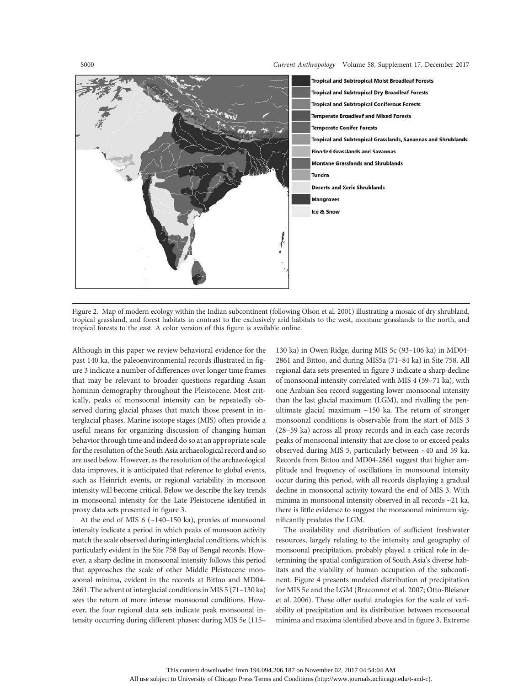S000 Current Anthropology Volume 58, Supplement 17, December 2017



Figure 2. Map of modern ecology within the Indian subcontinent (following Olson et al. 2001) illustrating a mosaic of dry shrubland, tropical grassland, and forest habitats in contrast to the exclusively arid habitats to the west, montane grasslands to the north, and tropical forests to the east. A color version of this figure is available online.

Although in this paper we review behavioral evidence for the past 140 ka, the paleoenvironmental records illustrated in figure 3 indicate a number of differences over longer time frames that may be relevant to broader questions regarding Asian hominin demography throughout the Pleistocene. Most critically, peaks of monsoonal intensity can be repeatedly observed during glacial phases that match those present in interglacial phases. Marine isotope stages (MIS) often provide a useful means for organizing discussion of changing human behavior through time and indeed do so at an appropriate scale for the resolution of the South Asia archaeological record and so are used below. However, as the resolution of the archaeological data improves, it is anticipated that reference to global events, such as Heinrich events, or regional variability in monsoon intensity will become critical. Below we describe the key trends in monsoonal intensity for the Late Pleistocene identified in proxy data sets presented in figure 3.

At the end of MIS 6 (~140–150 ka), proxies of monsoonal intensity indicate a period in which peaks of monsoon activity match the scale observed during interglacial conditions, which is particularly evident in the Site 758 Bay of Bengal records. However, a sharp decline in monsoonal intensity follows this period that approaches the scale of other Middle Pleistocene monsoonal minima, evident in the records at Bittoo and MD04- 2861. The advent of interglacial conditions in MIS 5 (71–130 ka) sees the return of more intense monsoonal conditions. However, the four regional data sets indicate peak monsoonal intensity occurring during different phases: during MIS 5e (115–

130 ka) in Owen Ridge, during MIS 5c (93–106 ka) in MD04- 2861 and Bittoo, and during MIS5a (71–84 ka) in Site 758. All regional data sets presented in figure 3 indicate a sharp decline of monsoonal intensity correlated with MIS 4 (59–71 ka), with one Arabian Sea record suggesting lower monsoonal intensity than the last glacial maximum (LGM), and rivalling the penultimate glacial maximum ~150 ka. The return of stronger monsoonal conditions is observable from the start of MIS 3 (28–59 ka) across all proxy records and in each case records peaks of monsoonal intensity that are close to or exceed peaks observed during MIS 5, particularly between ~40 and 59 ka. Records from Bittoo and MD04-2861 suggest that higher amplitude and frequency of oscillations in monsoonal intensity occur during this period, with all records displaying a gradual decline in monsoonal activity toward the end of MIS 3. With minima in monsoonal intensity observed in all records ~21 ka, there is little evidence to suggest the monsoonal minimum significantly predates the LGM.

The availability and distribution of sufficient freshwater resources, largely relating to the intensity and geography of monsoonal precipitation, probably played a critical role in determining the spatial configuration of South Asia's diverse habitats and the viability of human occupation of the subcontinent. Figure 4 presents modeled distribution of precipitation for MIS 5e and the LGM (Braconnot et al. 2007; Otto-Bleisner et al. 2006). These offer useful analogies for the scale of variability of precipitation and its distribution between monsoonal minima and maxima identified above and in figure 3. Extreme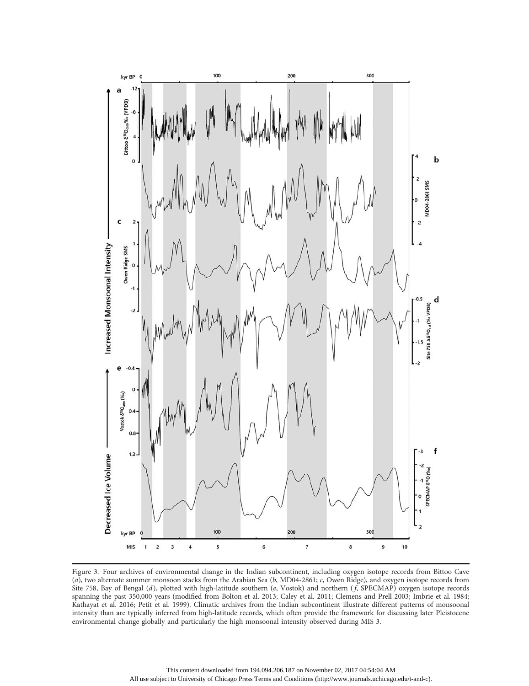

Figure 3. Four archives of environmental change in the Indian subcontinent, including oxygen isotope records from Bittoo Cave (a), two alternate summer monsoon stacks from the Arabian Sea (b, MD04-2861; c, Owen Ridge), and oxygen isotope records from Site 758, Bay of Bengal  $(d)$ , plotted with high-latitude southern  $(e, Vostok)$  and northern  $(f, SPECMAP)$  oxygen isotope records spanning the past 350,000 years (modified from Bolton et al. 2013; Caley et al. 2011; Clemens and Prell 2003; Imbrie et al. 1984; Kathayat et al. 2016; Petit et al. 1999). Climatic archives from the Indian subcontinent illustrate different patterns of monsoonal intensity than are typically inferred from high-latitude records, which often provide the framework for discussing later Pleistocene environmental change globally and particularly the high monsoonal intensity observed during MIS 3.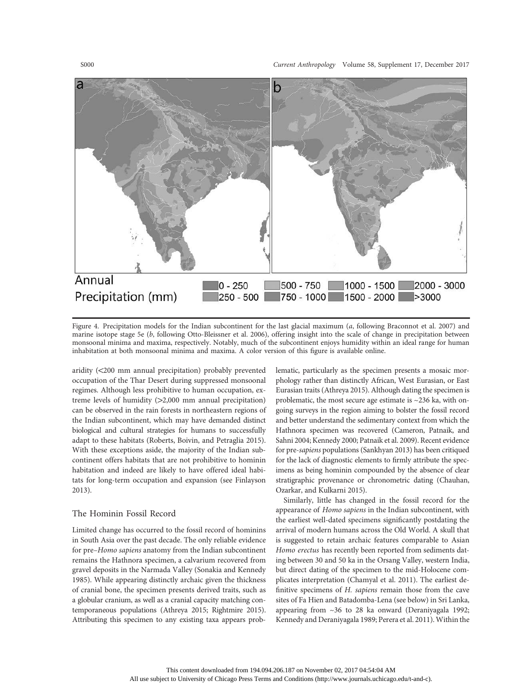

Figure 4. Precipitation models for the Indian subcontinent for the last glacial maximum (a, following Braconnot et al. 2007) and marine isotope stage 5e (b, following Otto-Bleissner et al. 2006), offering insight into the scale of change in precipitation between monsoonal minima and maxima, respectively. Notably, much of the subcontinent enjoys humidity within an ideal range for human inhabitation at both monsoonal minima and maxima. A color version of this figure is available online.

aridity (<200 mm annual precipitation) probably prevented occupation of the Thar Desert during suppressed monsoonal regimes. Although less prohibitive to human occupation, extreme levels of humidity  $(>2,000$  mm annual precipitation) can be observed in the rain forests in northeastern regions of the Indian subcontinent, which may have demanded distinct biological and cultural strategies for humans to successfully adapt to these habitats (Roberts, Boivin, and Petraglia 2015). With these exceptions aside, the majority of the Indian subcontinent offers habitats that are not prohibitive to hominin habitation and indeed are likely to have offered ideal habitats for long-term occupation and expansion (see Finlayson 2013).

#### The Hominin Fossil Record

Limited change has occurred to the fossil record of hominins in South Asia over the past decade. The only reliable evidence for pre–Homo sapiens anatomy from the Indian subcontinent remains the Hathnora specimen, a calvarium recovered from gravel deposits in the Narmada Valley (Sonakia and Kennedy 1985). While appearing distinctly archaic given the thickness of cranial bone, the specimen presents derived traits, such as a globular cranium, as well as a cranial capacity matching contemporaneous populations (Athreya 2015; Rightmire 2015). Attributing this specimen to any existing taxa appears problematic, particularly as the specimen presents a mosaic morphology rather than distinctly African, West Eurasian, or East Eurasian traits (Athreya 2015). Although dating the specimen is problematic, the most secure age estimate is ~236 ka, with ongoing surveys in the region aiming to bolster the fossil record and better understand the sedimentary context from which the Hathnora specimen was recovered (Cameron, Patnaik, and Sahni 2004; Kennedy 2000; Patnaik et al. 2009). Recent evidence for pre-sapiens populations (Sankhyan 2013) has been critiqued for the lack of diagnostic elements to firmly attribute the specimens as being hominin compounded by the absence of clear stratigraphic provenance or chronometric dating (Chauhan, Ozarkar, and Kulkarni 2015).

Similarly, little has changed in the fossil record for the appearance of Homo sapiens in the Indian subcontinent, with the earliest well-dated specimens significantly postdating the arrival of modern humans across the Old World. A skull that is suggested to retain archaic features comparable to Asian Homo erectus has recently been reported from sediments dating between 30 and 50 ka in the Orsang Valley, western India, but direct dating of the specimen to the mid-Holocene complicates interpretation (Chamyal et al. 2011). The earliest definitive specimens of H. sapiens remain those from the cave sites of Fa Hien and Batadomba-Lena (see below) in Sri Lanka, appearing from ~36 to 28 ka onward (Deraniyagala 1992; Kennedy and Deraniyagala 1989; Perera et al. 2011). Within the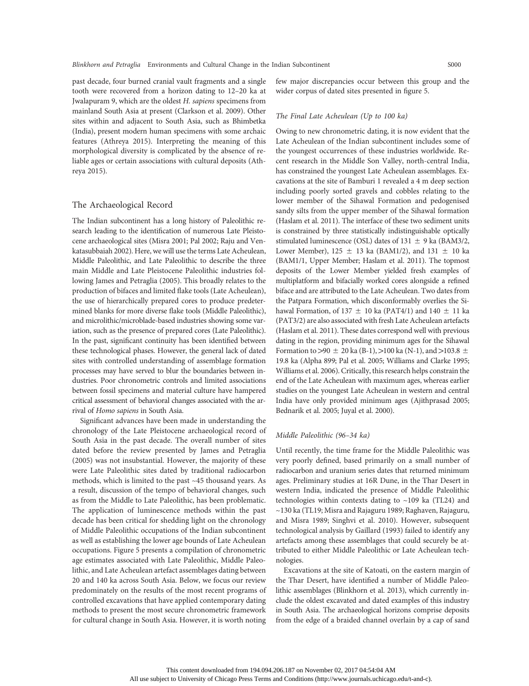past decade, four burned cranial vault fragments and a single tooth were recovered from a horizon dating to 12–20 ka at Jwalapuram 9, which are the oldest H. sapiens specimens from mainland South Asia at present (Clarkson et al. 2009). Other sites within and adjacent to South Asia, such as Bhimbetka (India), present modern human specimens with some archaic features (Athreya 2015). Interpreting the meaning of this morphological diversity is complicated by the absence of reliable ages or certain associations with cultural deposits (Athreya 2015).

#### The Archaeological Record

The Indian subcontinent has a long history of Paleolithic research leading to the identification of numerous Late Pleistocene archaeological sites (Misra 2001; Pal 2002; Raju and Venkatasubbaiah 2002). Here, we will use the terms Late Acheulean, Middle Paleolithic, and Late Paleolithic to describe the three main Middle and Late Pleistocene Paleolithic industries following James and Petraglia (2005). This broadly relates to the production of bifaces and limited flake tools (Late Acheulean), the use of hierarchically prepared cores to produce predetermined blanks for more diverse flake tools (Middle Paleolithic), and microlithic/microblade-based industries showing some variation, such as the presence of prepared cores (Late Paleolithic). In the past, significant continuity has been identified between these technological phases. However, the general lack of dated sites with controlled understanding of assemblage formation processes may have served to blur the boundaries between industries. Poor chronometric controls and limited associations between fossil specimens and material culture have hampered critical assessment of behavioral changes associated with the arrival of Homo sapiens in South Asia.

Significant advances have been made in understanding the chronology of the Late Pleistocene archaeological record of South Asia in the past decade. The overall number of sites dated before the review presented by James and Petraglia (2005) was not insubstantial. However, the majority of these were Late Paleolithic sites dated by traditional radiocarbon methods, which is limited to the past ~45 thousand years. As a result, discussion of the tempo of behavioral changes, such as from the Middle to Late Paleolithic, has been problematic. The application of luminescence methods within the past decade has been critical for shedding light on the chronology of Middle Paleolithic occupations of the Indian subcontinent as well as establishing the lower age bounds of Late Acheulean occupations. Figure 5 presents a compilation of chronometric age estimates associated with Late Paleolithic, Middle Paleolithic, and Late Acheulean artefact assemblages dating between 20 and 140 ka across South Asia. Below, we focus our review predominately on the results of the most recent programs of controlled excavations that have applied contemporary dating methods to present the most secure chronometric framework for cultural change in South Asia. However, it is worth noting

few major discrepancies occur between this group and the wider corpus of dated sites presented in figure 5.

#### The Final Late Acheulean (Up to 100 ka)

Owing to new chronometric dating, it is now evident that the Late Acheulean of the Indian subcontinent includes some of the youngest occurrences of these industries worldwide. Recent research in the Middle Son Valley, north-central India, has constrained the youngest Late Acheulean assemblages. Excavations at the site of Bamburi 1 revealed a 4 m deep section including poorly sorted gravels and cobbles relating to the lower member of the Sihawal Formation and pedogenised sandy silts from the upper member of the Sihawal formation (Haslam et al. 2011). The interface of these two sediment units is constrained by three statistically indistinguishable optically stimulated luminescence (OSL) dates of  $131 \pm 9$  ka (BAM3/2, Lower Member),  $125 \pm 13$  ka (BAM1/2), and  $131 \pm 10$  ka (BAM1/1, Upper Member; Haslam et al. 2011). The topmost deposits of the Lower Member yielded fresh examples of multiplatform and bifacially worked cores alongside a refined biface and are attributed to the Late Acheulean. Two dates from the Patpara Formation, which disconformably overlies the Sihawal Formation, of 137  $\pm$  10 ka (PAT4/1) and 140  $\pm$  11 ka (PAT3/2) are also associated with fresh Late Acheulean artefacts (Haslam et al. 2011). These dates correspond well with previous dating in the region, providing minimum ages for the Sihawal Formation to  $>90 \pm 20$  ka (B-1),  $>100$  ka (N-1), and  $>103.8 \pm 100$ 19.8 ka (Alpha 899; Pal et al. 2005; Williams and Clarke 1995; Williams et al. 2006). Critically, this research helps constrain the end of the Late Acheulean with maximum ages, whereas earlier studies on the youngest Late Acheulean in western and central India have only provided minimum ages (Ajithprasad 2005; Bednarik et al. 2005; Juyal et al. 2000).

#### Middle Paleolithic (96–34 ka)

Until recently, the time frame for the Middle Paleolithic was very poorly defined, based primarily on a small number of radiocarbon and uranium series dates that returned minimum ages. Preliminary studies at 16R Dune, in the Thar Desert in western India, indicated the presence of Middle Paleolithic technologies within contexts dating to  $\sim$ 109 ka (TL24) and ~130 ka (TL19; Misra and Rajaguru 1989; Raghaven, Rajaguru, and Misra 1989; Singhvi et al. 2010). However, subsequent technological analysis by Gaillard (1993) failed to identify any artefacts among these assemblages that could securely be attributed to either Middle Paleolithic or Late Acheulean technologies.

Excavations at the site of Katoati, on the eastern margin of the Thar Desert, have identified a number of Middle Paleolithic assemblages (Blinkhorn et al. 2013), which currently include the oldest excavated and dated examples of this industry in South Asia. The archaeological horizons comprise deposits from the edge of a braided channel overlain by a cap of sand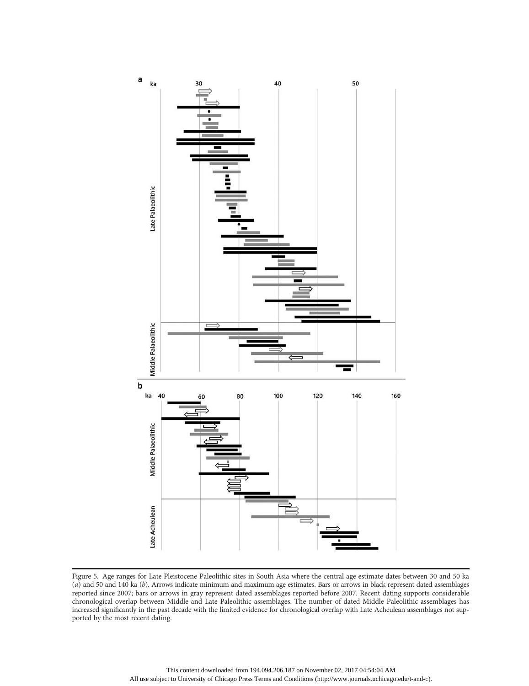

Figure 5. Age ranges for Late Pleistocene Paleolithic sites in South Asia where the central age estimate dates between 30 and 50 ka (a) and 50 and 140 ka (b). Arrows indicate minimum and maximum age estimates. Bars or arrows in black represent dated assemblages reported since 2007; bars or arrows in gray represent dated assemblages reported before 2007. Recent dating supports considerable chronological overlap between Middle and Late Paleolithic assemblages. The number of dated Middle Paleolithic assemblages has increased significantly in the past decade with the limited evidence for chronological overlap with Late Acheulean assemblages not supported by the most recent dating.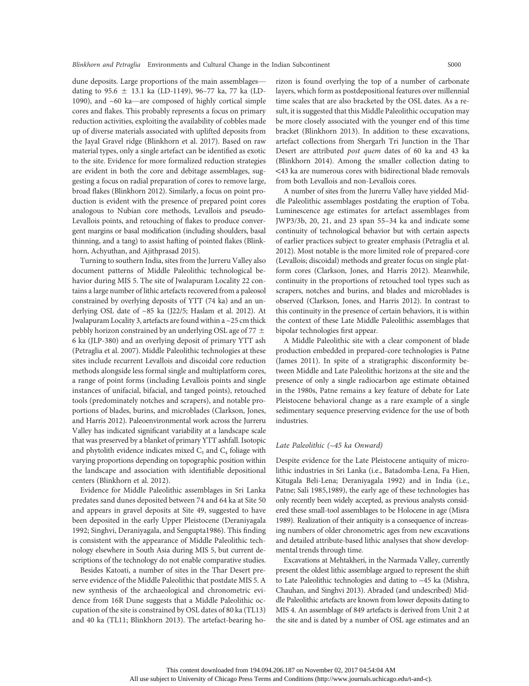dune deposits. Large proportions of the main assemblages dating to 95.6  $\pm$  13.1 ka (LD-1149), 96–77 ka, 77 ka (LD-1090), and ~60 ka—are composed of highly cortical simple cores and flakes. This probably represents a focus on primary reduction activities, exploiting the availability of cobbles made up of diverse materials associated with uplifted deposits from the Jayal Gravel ridge (Blinkhorn et al. 2017). Based on raw material types, only a single artefact can be identified as exotic to the site. Evidence for more formalized reduction strategies are evident in both the core and debitage assemblages, suggesting a focus on radial preparation of cores to remove large, broad flakes (Blinkhorn 2012). Similarly, a focus on point production is evident with the presence of prepared point cores analogous to Nubian core methods, Levallois and pseudo-Levallois points, and retouching of flakes to produce convergent margins or basal modification (including shoulders, basal thinning, and a tang) to assist hafting of pointed flakes (Blinkhorn, Achyuthan, and Ajithprasad 2015).

Turning to southern India, sites from the Jurreru Valley also document patterns of Middle Paleolithic technological behavior during MIS 5. The site of Jwalapuram Locality 22 contains a large number of lithic artefacts recovered from a paleosol constrained by overlying deposits of YTT (74 ka) and an underlying OSL date of ~85 ka (J22/5; Haslam et al. 2012). At Jwalapuram Locality 3, artefacts are found within a ~25 cm thick pebbly horizon constrained by an underlying OSL age of 77  $\pm$ 6 ka (JLP-380) and an overlying deposit of primary YTT ash (Petraglia et al. 2007). Middle Paleolithic technologies at these sites include recurrent Levallois and discoidal core reduction methods alongside less formal single and multiplatform cores, a range of point forms (including Levallois points and single instances of unifacial, bifacial, and tanged points), retouched tools (predominately notches and scrapers), and notable proportions of blades, burins, and microblades (Clarkson, Jones, and Harris 2012). Paleoenvironmental work across the Jurreru Valley has indicated significant variability at a landscape scale that was preserved by a blanket of primary YTT ashfall. Isotopic and phytolith evidence indicates mixed  $C_3$  and  $C_4$  foliage with varying proportions depending on topographic position within the landscape and association with identifiable depositional centers (Blinkhorn et al. 2012).

Evidence for Middle Paleolithic assemblages in Sri Lanka predates sand dunes deposited between 74 and 64 ka at Site 50 and appears in gravel deposits at Site 49, suggested to have been deposited in the early Upper Pleistocene (Deraniyagala 1992; Singhvi, Deraniyagala, and Sengupta1986). This finding is consistent with the appearance of Middle Paleolithic technology elsewhere in South Asia during MIS 5, but current descriptions of the technology do not enable comparative studies.

Besides Katoati, a number of sites in the Thar Desert preserve evidence of the Middle Paleolithic that postdate MIS 5. A new synthesis of the archaeological and chronometric evidence from 16R Dune suggests that a Middle Paleolithic occupation of the site is constrained by OSL dates of 80 ka (TL13) and 40 ka (TL11; Blinkhorn 2013). The artefact-bearing ho-

rizon is found overlying the top of a number of carbonate layers, which form as postdepositional features over millennial time scales that are also bracketed by the OSL dates. As a result, it is suggested that this Middle Paleolithic occupation may be more closely associated with the younger end of this time bracket (Blinkhorn 2013). In addition to these excavations, artefact collections from Shergarh Tri Junction in the Thar Desert are attributed post quem dates of 60 ka and 43 ka (Blinkhorn 2014). Among the smaller collection dating to !43 ka are numerous cores with bidirectional blade removals from both Levallois and non-Levallois cores.

A number of sites from the Jurerru Valley have yielded Middle Paleolithic assemblages postdating the eruption of Toba. Luminescence age estimates for artefact assemblages from JWP3/3b, 20, 21, and 23 span 55–34 ka and indicate some continuity of technological behavior but with certain aspects of earlier practices subject to greater emphasis (Petraglia et al. 2012). Most notable is the more limited role of prepared-core (Levallois; discoidal) methods and greater focus on single platform cores (Clarkson, Jones, and Harris 2012). Meanwhile, continuity in the proportions of retouched tool types such as scrapers, notches and burins, and blades and microblades is observed (Clarkson, Jones, and Harris 2012). In contrast to this continuity in the presence of certain behaviors, it is within the context of these Late Middle Paleolithic assemblages that bipolar technologies first appear.

A Middle Paleolithic site with a clear component of blade production embedded in prepared-core technologies is Patne (James 2011). In spite of a stratigraphic disconformity between Middle and Late Paleolithic horizons at the site and the presence of only a single radiocarbon age estimate obtained in the 1980s, Patne remains a key feature of debate for Late Pleistocene behavioral change as a rare example of a single sedimentary sequence preserving evidence for the use of both industries.

### Late Paleolithic (~45 ka Onward)

Despite evidence for the Late Pleistocene antiquity of microlithic industries in Sri Lanka (i.e., Batadomba-Lena, Fa Hien, Kitugala Beli-Lena; Deraniyagala 1992) and in India (i.e., Patne; Sali 1985,1989), the early age of these technologies has only recently been widely accepted, as previous analysts considered these small-tool assemblages to be Holocene in age (Misra 1989). Realization of their antiquity is a consequence of increasing numbers of older chronometric ages from new excavations and detailed attribute-based lithic analyses that show developmental trends through time.

Excavations at Mehtakheri, in the Narmada Valley, currently present the oldest lithic assemblage argued to represent the shift to Late Paleolithic technologies and dating to ~45 ka (Mishra, Chauhan, and Singhvi 2013). Abraded (and undescribed) Middle Paleolithic artefacts are known from lower deposits dating to MIS 4. An assemblage of 849 artefacts is derived from Unit 2 at the site and is dated by a number of OSL age estimates and an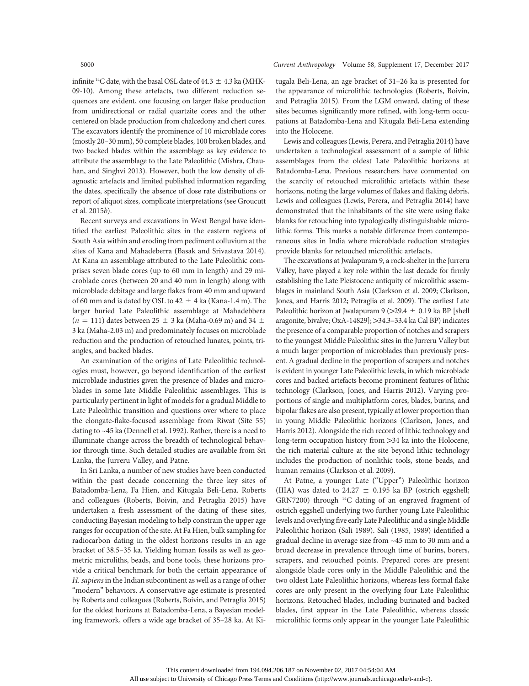infinite <sup>14</sup>C date, with the basal OSL date of 44.3  $\pm$  4.3 ka (MHK-09-10). Among these artefacts, two different reduction sequences are evident, one focusing on larger flake production from unidirectional or radial quartzite cores and the other centered on blade production from chalcedony and chert cores. The excavators identify the prominence of 10 microblade cores (mostly 20–30 mm), 50 complete blades, 100 broken blades, and two backed blades within the assemblage as key evidence to attribute the assemblage to the Late Paleolithic (Mishra, Chauhan, and Singhvi 2013). However, both the low density of diagnostic artefacts and limited published information regarding the dates, specifically the absence of dose rate distributions or report of aliquot sizes, complicate interpretations (see Groucutt et al. 2015b).

Recent surveys and excavations in West Bengal have identified the earliest Paleolithic sites in the eastern regions of South Asia within and eroding from pediment colluvium at the sites of Kana and Mahadeberra (Basak and Srivastava 2014). At Kana an assemblage attributed to the Late Paleolithic comprises seven blade cores (up to 60 mm in length) and 29 microblade cores (between 20 and 40 mm in length) along with microblade debitage and large flakes from 40 mm and upward of 60 mm and is dated by OSL to  $42 \pm 4$  ka (Kana-1.4 m). The larger buried Late Paleolithic assemblage at Mahadebbera ( $n = 111$ ) dates between 25  $\pm$  3 ka (Maha-0.69 m) and 34  $\pm$ 3 ka (Maha-2.03 m) and predominately focuses on microblade reduction and the production of retouched lunates, points, triangles, and backed blades.

An examination of the origins of Late Paleolithic technologies must, however, go beyond identification of the earliest microblade industries given the presence of blades and microblades in some late Middle Paleolithic assemblages. This is particularly pertinent in light of models for a gradual Middle to Late Paleolithic transition and questions over where to place the elongate-flake-focused assemblage from Riwat (Site 55) dating to ~45 ka (Dennell et al. 1992). Rather, there is a need to illuminate change across the breadth of technological behavior through time. Such detailed studies are available from Sri Lanka, the Jurreru Valley, and Patne.

In Sri Lanka, a number of new studies have been conducted within the past decade concerning the three key sites of Batadomba-Lena, Fa Hien, and Kitugala Beli-Lena. Roberts and colleagues (Roberts, Boivin, and Petraglia 2015) have undertaken a fresh assessment of the dating of these sites, conducting Bayesian modeling to help constrain the upper age ranges for occupation of the site. At Fa Hien, bulk sampling for radiocarbon dating in the oldest horizons results in an age bracket of 38.5–35 ka. Yielding human fossils as well as geometric microliths, beads, and bone tools, these horizons provide a critical benchmark for both the certain appearance of H. sapiens in the Indian subcontinent as well as a range of other "modern" behaviors. A conservative age estimate is presented by Roberts and colleagues (Roberts, Boivin, and Petraglia 2015) for the oldest horizons at Batadomba-Lena, a Bayesian modeling framework, offers a wide age bracket of 35–28 ka. At Ki-

#### S000 Current Anthropology Volume 58, Supplement 17, December 2017

tugala Beli-Lena, an age bracket of 31–26 ka is presented for the appearance of microlithic technologies (Roberts, Boivin, and Petraglia 2015). From the LGM onward, dating of these sites becomes significantly more refined, with long-term occupations at Batadomba-Lena and Kitugala Beli-Lena extending into the Holocene.

Lewis and colleagues (Lewis, Perera, and Petraglia 2014) have undertaken a technological assessment of a sample of lithic assemblages from the oldest Late Paleolithic horizons at Batadomba-Lena. Previous researchers have commented on the scarcity of retouched microlithic artefacts within these horizons, noting the large volumes of flakes and flaking debris. Lewis and colleagues (Lewis, Perera, and Petraglia 2014) have demonstrated that the inhabitants of the site were using flake blanks for retouching into typologically distinguishable microlithic forms. This marks a notable difference from contemporaneous sites in India where microblade reduction strategies provide blanks for retouched microlithic artefacts.

The excavations at Jwalapuram 9, a rock-shelter in the Jurreru Valley, have played a key role within the last decade for firmly establishing the Late Pleistocene antiquity of microlithic assemblages in mainland South Asia (Clarkson et al. 2009; Clarkson, Jones, and Harris 2012; Petraglia et al. 2009). The earliest Late Paleolithic horizon at Jwalapuram 9 ( $>$ 29.4  $\pm$  0.19 ka BP [shell aragonite, bivalve; OxA-14829]; > 34.3–33.4 ka Cal BP) indicates the presence of a comparable proportion of notches and scrapers to the youngest Middle Paleolithic sites in the Jurreru Valley but a much larger proportion of microblades than previously present. A gradual decline in the proportion of scrapers and notches is evident in younger Late Paleolithic levels, in which microblade cores and backed artefacts become prominent features of lithic technology (Clarkson, Jones, and Harris 2012). Varying proportions of single and multiplatform cores, blades, burins, and bipolar flakes are also present, typically at lower proportion than in young Middle Paleolithic horizons (Clarkson, Jones, and Harris 2012). Alongside the rich record of lithic technology and long-term occupation history from >34 ka into the Holocene, the rich material culture at the site beyond lithic technology includes the production of nonlithic tools, stone beads, and human remains (Clarkson et al. 2009).

At Patne, a younger Late ("Upper") Paleolithic horizon (IIIA) was dated to  $24.27 \pm 0.195$  ka BP (ostrich eggshell; GRN7200) through 14C dating of an engraved fragment of ostrich eggshell underlying two further young Late Paleolithic levels and overlying five early Late Paleolithic and a single Middle Paleolithic horizon (Sali 1989). Sali (1985, 1989) identified a gradual decline in average size from ~45 mm to 30 mm and a broad decrease in prevalence through time of burins, borers, scrapers, and retouched points. Prepared cores are present alongside blade cores only in the Middle Paleolithic and the two oldest Late Paleolithic horizons, whereas less formal flake cores are only present in the overlying four Late Paleolithic horizons. Retouched blades, including burinated and backed blades, first appear in the Late Paleolithic, whereas classic microlithic forms only appear in the younger Late Paleolithic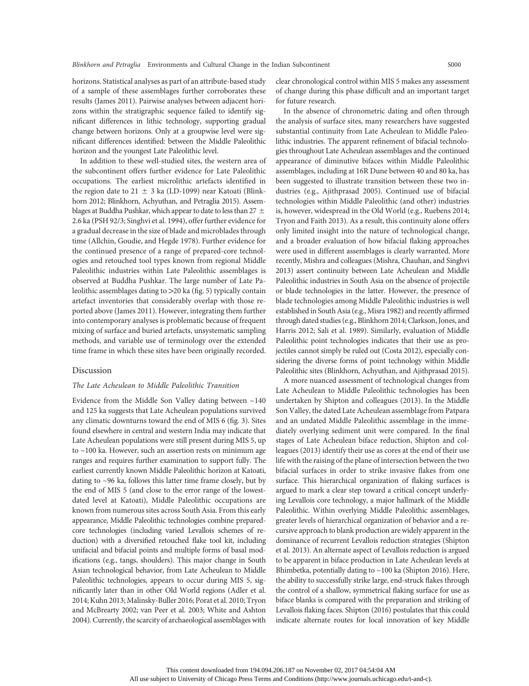horizons. Statistical analyses as part of an attribute-based study of a sample of these assemblages further corroborates these results (James 2011). Pairwise analyses between adjacent horizons within the stratigraphic sequence failed to identify significant differences in lithic technology, supporting gradual change between horizons. Only at a groupwise level were significant differences identified: between the Middle Paleolithic horizon and the youngest Late Paleolithic level.

In addition to these well-studied sites, the western area of the subcontinent offers further evidence for Late Paleolithic occupations. The earliest microlithic artefacts identified in the region date to 21  $\pm$  3 ka (LD-1099) near Katoati (Blinkhorn 2012; Blinkhorn, Achyuthan, and Petraglia 2015). Assemblages at Buddha Pushkar, which appear to date to less than 27  $\pm$ 2.6 ka (PSH 92/3; Singhvi et al. 1994), offer further evidence for a gradual decrease in the size of blade and microblades through time (Allchin, Goudie, and Hegde 1978). Further evidence for the continued presence of a range of prepared-core technologies and retouched tool types known from regional Middle Paleolithic industries within Late Paleolithic assemblages is observed at Buddha Pushkar. The large number of Late Paleolithic assemblages dating to  $>20$  ka (fig. 5) typically contain artefact inventories that considerably overlap with those reported above (James 2011). However, integrating them further into contemporary analyses is problematic because of frequent mixing of surface and buried artefacts, unsystematic sampling methods, and variable use of terminology over the extended time frame in which these sites have been originally recorded.

#### Discussion

#### The Late Acheulean to Middle Paleolithic Transition

Evidence from the Middle Son Valley dating between  $~140$ and 125 ka suggests that Late Acheulean populations survived any climatic downturns toward the end of MIS 6 (fig. 3). Sites found elsewhere in central and western India may indicate that Late Acheulean populations were still present during MIS 5, up to ~100 ka. However, such an assertion rests on minimum age ranges and requires further examination to support fully. The earliest currently known Middle Paleolithic horizon at Katoati, dating to ~96 ka, follows this latter time frame closely, but by the end of MIS 5 (and close to the error range of the lowestdated level at Katoati), Middle Paleolithic occupations are known from numerous sites across South Asia. From this early appearance, Middle Paleolithic technologies combine preparedcore technologies (including varied Levallois schemes of reduction) with a diversified retouched flake tool kit, including unifacial and bifacial points and multiple forms of basal modifications (e.g., tangs, shoulders). This major change in South Asian technological behavior, from Late Acheulean to Middle Paleolithic technologies, appears to occur during MIS 5, significantly later than in other Old World regions (Adler et al. 2014; Kuhn 2013; Malinsky-Buller 2016; Porat et al. 2010; Tryon and McBrearty 2002; van Peer et al. 2003; White and Ashton 2004). Currently, the scarcity of archaeological assemblages with clear chronological control within MIS 5 makes any assessment of change during this phase difficult and an important target for future research.

In the absence of chronometric dating and often through the analysis of surface sites, many researchers have suggested substantial continuity from Late Acheulean to Middle Paleolithic industries. The apparent refinement of bifacial technologies throughout Late Acheulean assemblages and the continued appearance of diminutive bifaces within Middle Paleolithic assemblages, including at 16R Dune between 40 and 80 ka, has been suggested to illustrate transition between these two industries (e.g., Ajithprasad 2005). Continued use of bifacial technologies within Middle Paleolithic (and other) industries is, however, widespread in the Old World (e.g., Ruebens 2014; Tryon and Faith 2013). As a result, this continuity alone offers only limited insight into the nature of technological change, and a broader evaluation of how bifacial flaking approaches were used in different assemblages is clearly warranted. More recently, Mishra and colleagues (Mishra, Chauhan, and Singhvi 2013) assert continuity between Late Acheulean and Middle Paleolithic industries in South Asia on the absence of projectile or blade technologies in the latter. However, the presence of blade technologies among Middle Paleolithic industries is well established in South Asia (e.g., Misra 1982) and recently affirmed through dated studies (e.g., Blinkhorn 2014; Clarkson, Jones, and Harris 2012; Sali et al. 1989). Similarly, evaluation of Middle Paleolithic point technologies indicates that their use as projectiles cannot simply be ruled out (Costa 2012), especially considering the diverse forms of point technology within Middle Paleolithic sites (Blinkhorn, Achyuthan, and Ajithprasad 2015).

A more nuanced assessment of technological changes from Late Acheulean to Middle Paleolithic technologies has been undertaken by Shipton and colleagues (2013). In the Middle Son Valley, the dated Late Acheulean assemblage from Patpara and an undated Middle Paleolithic assemblage in the immediately overlying sediment unit were compared. In the final stages of Late Acheulean biface reduction, Shipton and colleagues (2013) identify their use as cores at the end of their use life with the raising of the plane of intersection between the two bifacial surfaces in order to strike invasive flakes from one surface. This hierarchical organization of flaking surfaces is argued to mark a clear step toward a critical concept underlying Levallois core technology, a major hallmark of the Middle Paleolithic. Within overlying Middle Paleolithic assemblages, greater levels of hierarchical organization of behavior and a recursive approach to blank production are widely apparent in the dominance of recurrent Levallois reduction strategies (Shipton et al. 2013). An alternate aspect of Levallois reduction is argued to be apparent in biface production in Late Acheulean levels at Bhimbetka, potentially dating to ~100 ka (Shipton 2016). Here, the ability to successfully strike large, end-struck flakes through the control of a shallow, symmetrical flaking surface for use as biface blanks is compared with the preparation and striking of Levallois flaking faces. Shipton (2016) postulates that this could indicate alternate routes for local innovation of key Middle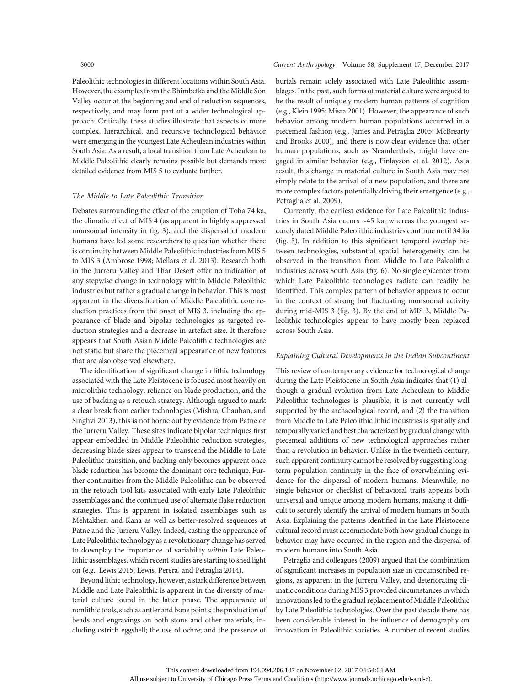#### S000 Current Anthropology Volume 58, Supplement 17, December 2017

Paleolithic technologies in different locations within South Asia. However, the examples from the Bhimbetka and the Middle Son Valley occur at the beginning and end of reduction sequences, respectively, and may form part of a wider technological approach. Critically, these studies illustrate that aspects of more complex, hierarchical, and recursive technological behavior were emerging in the youngest Late Acheulean industries within South Asia. As a result, a local transition from Late Acheulean to Middle Paleolithic clearly remains possible but demands more detailed evidence from MIS 5 to evaluate further.

#### The Middle to Late Paleolithic Transition

Debates surrounding the effect of the eruption of Toba 74 ka, the climatic effect of MIS 4 (as apparent in highly suppressed monsoonal intensity in fig. 3), and the dispersal of modern humans have led some researchers to question whether there is continuity between Middle Paleolithic industries from MIS 5 to MIS 3 (Ambrose 1998; Mellars et al. 2013). Research both in the Jurreru Valley and Thar Desert offer no indication of any stepwise change in technology within Middle Paleolithic industries but rather a gradual change in behavior. This is most apparent in the diversification of Middle Paleolithic core reduction practices from the onset of MIS 3, including the appearance of blade and bipolar technologies as targeted reduction strategies and a decrease in artefact size. It therefore appears that South Asian Middle Paleolithic technologies are not static but share the piecemeal appearance of new features that are also observed elsewhere.

The identification of significant change in lithic technology associated with the Late Pleistocene is focused most heavily on microlithic technology, reliance on blade production, and the use of backing as a retouch strategy. Although argued to mark a clear break from earlier technologies (Mishra, Chauhan, and Singhvi 2013), this is not borne out by evidence from Patne or the Jurreru Valley. These sites indicate bipolar techniques first appear embedded in Middle Paleolithic reduction strategies, decreasing blade sizes appear to transcend the Middle to Late Paleolithic transition, and backing only becomes apparent once blade reduction has become the dominant core technique. Further continuities from the Middle Paleolithic can be observed in the retouch tool kits associated with early Late Paleolithic assemblages and the continued use of alternate flake reduction strategies. This is apparent in isolated assemblages such as Mehtakheri and Kana as well as better-resolved sequences at Patne and the Jurreru Valley. Indeed, casting the appearance of Late Paleolithic technology as a revolutionary change has served to downplay the importance of variability within Late Paleolithic assemblages, which recent studies are starting to shed light on (e.g., Lewis 2015; Lewis, Perera, and Petraglia 2014).

Beyond lithic technology, however, a stark difference between Middle and Late Paleolithic is apparent in the diversity of material culture found in the latter phase. The appearance of nonlithic tools, such as antler and bone points; the production of beads and engravings on both stone and other materials, including ostrich eggshell; the use of ochre; and the presence of burials remain solely associated with Late Paleolithic assemblages. In the past, such forms of material culture were argued to be the result of uniquely modern human patterns of cognition (e.g., Klein 1995; Misra 2001). However, the appearance of such behavior among modern human populations occurred in a piecemeal fashion (e.g., James and Petraglia 2005; McBrearty and Brooks 2000), and there is now clear evidence that other human populations, such as Neanderthals, might have engaged in similar behavior (e.g., Finlayson et al. 2012). As a result, this change in material culture in South Asia may not simply relate to the arrival of a new population, and there are more complex factors potentially driving their emergence (e.g., Petraglia et al. 2009).

Currently, the earliest evidence for Late Paleolithic industries in South Asia occurs ~45 ka, whereas the youngest securely dated Middle Paleolithic industries continue until 34 ka (fig. 5). In addition to this significant temporal overlap between technologies, substantial spatial heterogeneity can be observed in the transition from Middle to Late Paleolithic industries across South Asia (fig. 6). No single epicenter from which Late Paleolithic technologies radiate can readily be identified. This complex pattern of behavior appears to occur in the context of strong but fluctuating monsoonal activity during mid-MIS 3 (fig. 3). By the end of MIS 3, Middle Paleolithic technologies appear to have mostly been replaced across South Asia.

#### Explaining Cultural Developments in the Indian Subcontinent

This review of contemporary evidence for technological change during the Late Pleistocene in South Asia indicates that (1) although a gradual evolution from Late Acheulean to Middle Paleolithic technologies is plausible, it is not currently well supported by the archaeological record, and (2) the transition from Middle to Late Paleolithic lithic industries is spatially and temporally varied and best characterized by gradual change with piecemeal additions of new technological approaches rather than a revolution in behavior. Unlike in the twentieth century, such apparent continuity cannot be resolved by suggesting longterm population continuity in the face of overwhelming evidence for the dispersal of modern humans. Meanwhile, no single behavior or checklist of behavioral traits appears both universal and unique among modern humans, making it difficult to securely identify the arrival of modern humans in South Asia. Explaining the patterns identified in the Late Pleistocene cultural record must accommodate both how gradual change in behavior may have occurred in the region and the dispersal of modern humans into South Asia.

Petraglia and colleagues (2009) argued that the combination of significant increases in population size in circumscribed regions, as apparent in the Jurreru Valley, and deteriorating climatic conditions during MIS 3 provided circumstances in which innovations led to the gradual replacement of Middle Paleolithic by Late Paleolithic technologies. Over the past decade there has been considerable interest in the influence of demography on innovation in Paleolithic societies. A number of recent studies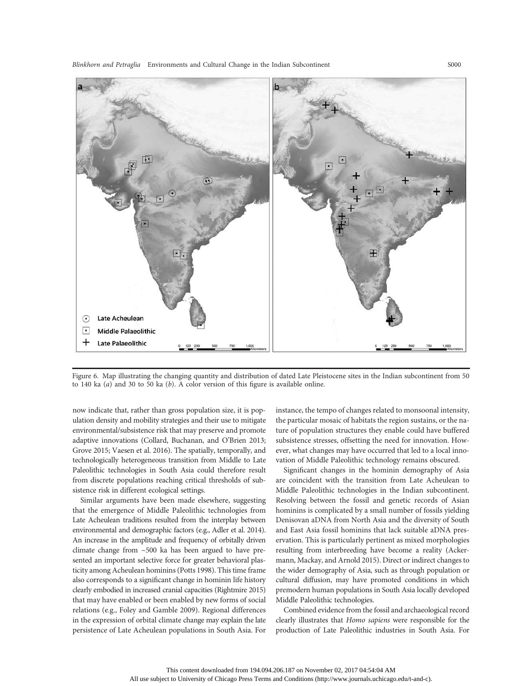Blinkhorn and Petraglia Environments and Cultural Change in the Indian Subcontinent S000



Figure 6. Map illustrating the changing quantity and distribution of dated Late Pleistocene sites in the Indian subcontinent from 50 to 140 ka  $(a)$  and 30 to 50 ka  $(b)$ . A color version of this figure is available online.

now indicate that, rather than gross population size, it is population density and mobility strategies and their use to mitigate environmental/subsistence risk that may preserve and promote adaptive innovations (Collard, Buchanan, and O'Brien 2013; Grove 2015; Vaesen et al. 2016). The spatially, temporally, and technologically heterogeneous transition from Middle to Late Paleolithic technologies in South Asia could therefore result from discrete populations reaching critical thresholds of subsistence risk in different ecological settings.

Similar arguments have been made elsewhere, suggesting that the emergence of Middle Paleolithic technologies from Late Acheulean traditions resulted from the interplay between environmental and demographic factors (e.g., Adler et al. 2014). An increase in the amplitude and frequency of orbitally driven climate change from ~500 ka has been argued to have presented an important selective force for greater behavioral plasticity among Acheulean hominins (Potts 1998). This time frame also corresponds to a significant change in hominin life history clearly embodied in increased cranial capacities (Rightmire 2015) that may have enabled or been enabled by new forms of social relations (e.g., Foley and Gamble 2009). Regional differences in the expression of orbital climate change may explain the late persistence of Late Acheulean populations in South Asia. For

instance, the tempo of changes related to monsoonal intensity, the particular mosaic of habitats the region sustains, or the nature of population structures they enable could have buffered subsistence stresses, offsetting the need for innovation. However, what changes may have occurred that led to a local innovation of Middle Paleolithic technology remains obscured.

Significant changes in the hominin demography of Asia are coincident with the transition from Late Acheulean to Middle Paleolithic technologies in the Indian subcontinent. Resolving between the fossil and genetic records of Asian hominins is complicated by a small number of fossils yielding Denisovan aDNA from North Asia and the diversity of South and East Asia fossil hominins that lack suitable aDNA preservation. This is particularly pertinent as mixed morphologies resulting from interbreeding have become a reality (Ackermann, Mackay, and Arnold 2015). Direct or indirect changes to the wider demography of Asia, such as through population or cultural diffusion, may have promoted conditions in which premodern human populations in South Asia locally developed Middle Paleolithic technologies.

Combined evidence from the fossil and archaeological record clearly illustrates that Homo sapiens were responsible for the production of Late Paleolithic industries in South Asia. For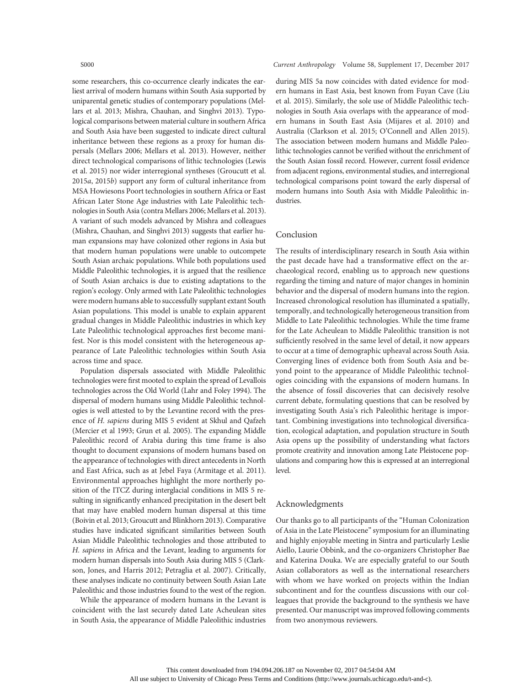some researchers, this co-occurrence clearly indicates the earliest arrival of modern humans within South Asia supported by uniparental genetic studies of contemporary populations (Mellars et al. 2013; Mishra, Chauhan, and Singhvi 2013). Typological comparisons between material culture in southern Africa and South Asia have been suggested to indicate direct cultural inheritance between these regions as a proxy for human dispersals (Mellars 2006; Mellars et al. 2013). However, neither direct technological comparisons of lithic technologies (Lewis et al. 2015) nor wider interregional syntheses (Groucutt et al. 2015a, 2015b) support any form of cultural inheritance from MSA Howiesons Poort technologies in southern Africa or East African Later Stone Age industries with Late Paleolithic technologies in South Asia (contra Mellars 2006; Mellars et al. 2013). A variant of such models advanced by Mishra and colleagues (Mishra, Chauhan, and Singhvi 2013) suggests that earlier human expansions may have colonized other regions in Asia but that modern human populations were unable to outcompete South Asian archaic populations. While both populations used Middle Paleolithic technologies, it is argued that the resilience of South Asian archaics is due to existing adaptations to the region's ecology. Only armed with Late Paleolithic technologies were modern humans able to successfully supplant extant South Asian populations. This model is unable to explain apparent gradual changes in Middle Paleolithic industries in which key Late Paleolithic technological approaches first become manifest. Nor is this model consistent with the heterogeneous appearance of Late Paleolithic technologies within South Asia across time and space.

Population dispersals associated with Middle Paleolithic technologies were first mooted to explain the spread of Levallois technologies across the Old World (Lahr and Foley 1994). The dispersal of modern humans using Middle Paleolithic technologies is well attested to by the Levantine record with the presence of H. sapiens during MIS 5 evident at Skhul and Qafzeh (Mercier et al 1993; Grun et al. 2005). The expanding Middle Paleolithic record of Arabia during this time frame is also thought to document expansions of modern humans based on the appearance of technologies with direct antecedents in North and East Africa, such as at Jebel Faya (Armitage et al. 2011). Environmental approaches highlight the more northerly position of the ITCZ during interglacial conditions in MIS 5 resulting in significantly enhanced precipitation in the desert belt that may have enabled modern human dispersal at this time (Boivin et al. 2013; Groucutt and Blinkhorn 2013). Comparative studies have indicated significant similarities between South Asian Middle Paleolithic technologies and those attributed to H. sapiens in Africa and the Levant, leading to arguments for modern human dispersals into South Asia during MIS 5 (Clarkson, Jones, and Harris 2012; Petraglia et al. 2007). Critically, these analyses indicate no continuity between South Asian Late Paleolithic and those industries found to the west of the region.

While the appearance of modern humans in the Levant is coincident with the last securely dated Late Acheulean sites in South Asia, the appearance of Middle Paleolithic industries

#### S000 Current Anthropology Volume 58, Supplement 17, December 2017

during MIS 5a now coincides with dated evidence for modern humans in East Asia, best known from Fuyan Cave (Liu et al. 2015). Similarly, the sole use of Middle Paleolithic technologies in South Asia overlaps with the appearance of modern humans in South East Asia (Mijares et al. 2010) and Australia (Clarkson et al. 2015; O'Connell and Allen 2015). The association between modern humans and Middle Paleolithic technologies cannot be verified without the enrichment of the South Asian fossil record. However, current fossil evidence from adjacent regions, environmental studies, and interregional technological comparisons point toward the early dispersal of modern humans into South Asia with Middle Paleolithic industries.

#### Conclusion

The results of interdisciplinary research in South Asia within the past decade have had a transformative effect on the archaeological record, enabling us to approach new questions regarding the timing and nature of major changes in hominin behavior and the dispersal of modern humans into the region. Increased chronological resolution has illuminated a spatially, temporally, and technologically heterogeneous transition from Middle to Late Paleolithic technologies. While the time frame for the Late Acheulean to Middle Paleolithic transition is not sufficiently resolved in the same level of detail, it now appears to occur at a time of demographic upheaval across South Asia. Converging lines of evidence both from South Asia and beyond point to the appearance of Middle Paleolithic technologies coinciding with the expansions of modern humans. In the absence of fossil discoveries that can decisively resolve current debate, formulating questions that can be resolved by investigating South Asia's rich Paleolithic heritage is important. Combining investigations into technological diversification, ecological adaptation, and population structure in South Asia opens up the possibility of understanding what factors promote creativity and innovation among Late Pleistocene populations and comparing how this is expressed at an interregional level.

#### Acknowledgments

Our thanks go to all participants of the "Human Colonization of Asia in the Late Pleistocene" symposium for an illuminating and highly enjoyable meeting in Sintra and particularly Leslie Aiello, Laurie Obbink, and the co-organizers Christopher Bae and Katerina Douka. We are especially grateful to our South Asian collaborators as well as the international researchers with whom we have worked on projects within the Indian subcontinent and for the countless discussions with our colleagues that provide the background to the synthesis we have presented. Our manuscript was improved following comments from two anonymous reviewers.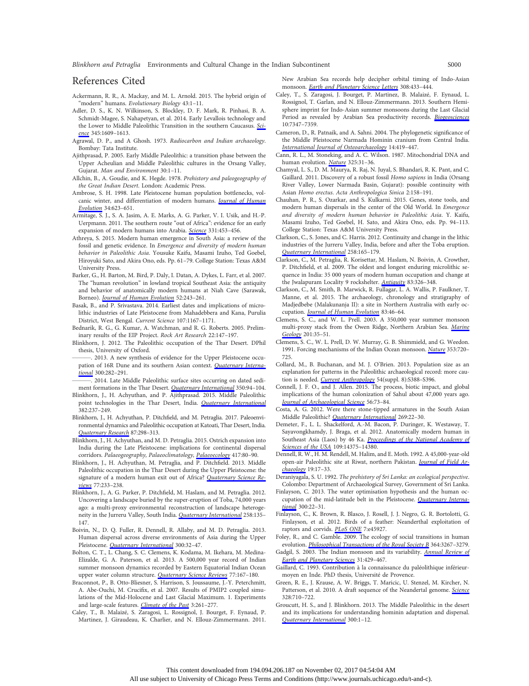Blinkhorn and Petraglia Environments and Cultural Change in the Indian Subcontinent S000

#### References Cited

- Ackermann, R. R., A. Mackay, and M. L. Arnold. 2015. The hybrid origin of "modern" humans. Evolutionary Biology 43:1–11.
- Adler, D. S., K. N. Wilkinson, S. Blockley, D. F. Mark, R. Pinhasi, B. A. Schmidt-Magee, S. Nahapetyan, et al. 2014. Early Levallois technology and the Lower to Middle Paleolithic Transition in the southern Caucasus. [Sci](http://www.journals.uchicago.edu/action/showLinks?doi=10.1086%2F693462&crossref=10.1126%2Fscience.1256484&citationId=p_2)[ence](http://www.journals.uchicago.edu/action/showLinks?doi=10.1086%2F693462&crossref=10.1126%2Fscience.1256484&citationId=p_2) 345:1609–1613.
- Agrawal, D. P., and A Ghosh. 1973. Radiocarbon and Indian archaeology. Bombay: Tata Institute.
- Ajithprasad, P. 2005. Early Middle Paleolithic: a transition phase between the Upper Acheulian and Middle Paleolithic cultures in the Orsang Valley, Gujarat. Man and Environment 30:1–11.
- Allchin, B., A. Goudie, and K. Hegde. 1978. Prehistory and paleogeography of the Great Indian Desert. London: Academic Press.
- Ambrose, S. H. 1998. Late Pleistocene human population bottlenecks, vol-canic winter, and differentiation of modern humans. [Journal of Human](http://www.journals.uchicago.edu/action/showLinks?doi=10.1086%2F693462&crossref=10.1006%2Fjhev.1998.0219&citationId=p_6) [Evolution](http://www.journals.uchicago.edu/action/showLinks?doi=10.1086%2F693462&crossref=10.1006%2Fjhev.1998.0219&citationId=p_6) 34:623–651.
- Armitage, S. J., S. A. Jasim, A. E. Marks, A. G. Parker, V. I. Usik, and H.-P. Uerpmann. 2011. The southern route "out of Africa": evidence for an early expansion of modern humans into Arabia. [Science](http://www.journals.uchicago.edu/action/showLinks?doi=10.1086%2F693462&crossref=10.1126%2Fscience.1199113&citationId=p_7) 331:453–456.
- Athreya, S. 2015. Modern human emergence in South Asia: a review of the fossil and genetic evidence. In Emergence and diversity of modern human behavior in Paleolithic Asia. Yousuke Kaifu, Masami Izuho, Ted Goebel, Hiroyuki Sato, and Akira Ono, eds. Pp. 61–79. College Station: Texas A&M University Press.
- Barker, G., H. Barton, M. Bird, P. Daly, I. Datan, A. Dykes, L. Farr, et al. 2007. The "human revolution" in lowland tropical Southeast Asia: the antiquity and behavior of anatomically modern humans at Niah Cave (Sarawak, Borneo). [Journal of Human Evolution](http://www.journals.uchicago.edu/action/showLinks?doi=10.1086%2F693462&crossref=10.1016%2Fj.jhevol.2006.08.011&citationId=p_9) 52:243–261.
- Basak, B., and P. Srivastava. 2014. Earliest dates and implications of microlithic industries of Late Pleistocene from Mahadebbera and Kana, Purulia District, West Bengal. Current Science 107:1167–1171.
- Bednarik, R. G., G. Kumar, A. Watchman, and R. G. Roberts. 2005. Preliminary results of the EIP Project. Rock Art Research 22:147–197.
- Blinkhorn, J. 2012. The Paleolithic occupation of the Thar Desert. DPhil thesis, University of Oxford.
- 2013. A new synthesis of evidence for the Upper Pleistocene occu-pation of 16R Dune and its southern Asian context. [Quaternary Interna](http://www.journals.uchicago.edu/action/showLinks?doi=10.1086%2F693462&crossref=10.1016%2Fj.quaint.2013.01.023&citationId=p_13)[tional](http://www.journals.uchicago.edu/action/showLinks?doi=10.1086%2F693462&crossref=10.1016%2Fj.quaint.2013.01.023&citationId=p_13) 300:282–291.
- 2014. Late Middle Paleolithic surface sites occurring on dated sedi-ment formations in the Thar Desert. [Quaternary International](http://www.journals.uchicago.edu/action/showLinks?doi=10.1086%2F693462&crossref=10.1016%2Fj.quaint.2014.01.027&citationId=p_14) 350:94-104.
- Blinkhorn, J., H. Achyuthan, and P. Ajithprasad. 2015. Middle Paleolithic point technologies in the Thar Desert, India. [Quaternary International](http://www.journals.uchicago.edu/action/showLinks?doi=10.1086%2F693462&crossref=10.1016%2Fj.quaint.2015.02.027&citationId=p_15) 382:237–249.
- Blinkhorn, J., H. Achyuthan, P. Ditchfield, and M. Petraglia. 2017. Paleoenvironmental dynamics and Paleolithic occupation at Katoati, Thar Desert, India. [Quaternary Research](http://www.journals.uchicago.edu/action/showLinks?doi=10.1086%2F693462&crossref=10.1017%2Fqua.2017.7&citationId=p_16) 87:298–313.
- Blinkhorn, J., H. Achyuthan, and M. D. Petraglia. 2015. Ostrich expansion into India during the Late Pleistocene: implications for continental dispersal corridors. Palaeogeography, Palaeoclimatology, [Palaeoecology](http://www.journals.uchicago.edu/action/showLinks?doi=10.1086%2F693462&crossref=10.1016%2Fj.palaeo.2014.10.026&citationId=p_17) 417:80-90.
- Blinkhorn, J., H. Achyuthan, M. Petraglia, and P. Ditchfield. 2013. Middle Paleolithic occupation in the Thar Desert during the Upper Pleistocene: the signature of a modern human exit out of Africa? [Quaternary Science Re](http://www.journals.uchicago.edu/action/showLinks?doi=10.1086%2F693462&crossref=10.1016%2Fj.quascirev.2013.06.012&citationId=p_18)[views](http://www.journals.uchicago.edu/action/showLinks?doi=10.1086%2F693462&crossref=10.1016%2Fj.quascirev.2013.06.012&citationId=p_18) 77:233–238.
- Blinkhorn, J., A. G. Parker, P. Ditchfield, M. Haslam, and M. Petraglia. 2012. Uncovering a landscape buried by the super-eruption of Toba, 74,000 years ago: a multi-proxy environmental reconstruction of landscape heteroge-neity in the Jurreru Valley, South India. [Quaternary International](http://www.journals.uchicago.edu/action/showLinks?doi=10.1086%2F693462&crossref=10.1016%2Fj.quaint.2011.12.008&citationId=p_19) 258:135-147.
- Boivin, N., D. Q. Fuller, R. Dennell, R. Allaby, and M. D. Petraglia. 2013. Human dispersal across diverse environments of Asia during the Upper Pleistocene. [Quaternary International](http://www.journals.uchicago.edu/action/showLinks?doi=10.1086%2F693462&crossref=10.1016%2Fj.quaint.2013.01.008&citationId=p_20) 300:32–47.
- Bolton, C. T., L. Chang, S. C. Clemens, K. Kodama, M. Ikehara, M. Medina-Elizalde, G. A. Paterson, et al. 2013. A 500,000 year record of Indian summer monsoon dynamics recorded by Eastern Equatorial Indian Ocean upper water column structure. [Quaternary Science Reviews](http://www.journals.uchicago.edu/action/showLinks?doi=10.1086%2F693462&crossref=10.1016%2Fj.quascirev.2013.07.031&citationId=p_21) 77:167-180.
- Braconnot, P., B. Otto-Bliesner, S. Harrison, S. Joussaume, J.-Y. Peterchmitt, A. Abe-Ouchi, M. Crucifix, et al. 2007. Results of PMIP2 coupled simulations of the Mid-Holocene and Last Glacial Maximum. 1. Experiments and large-scale features. [Climate of the Past](http://www.journals.uchicago.edu/action/showLinks?doi=10.1086%2F693462&crossref=10.5194%2Fcp-3-261-2007&citationId=p_22) 3:261–277.
- Caley, T., B. Malaizé, S. Zaragosi, L. Rossignol, J. Bourget, F. Eynaud, P. Martinez, J. Giraudeau, K. Charlier, and N. Ellouz-Zimmermann. 2011.

New Arabian Sea records help decipher orbital timing of Indo-Asian monsoon. [Earth and Planetary Science Letters](http://www.journals.uchicago.edu/action/showLinks?doi=10.1086%2F693462&crossref=10.1016%2Fj.epsl.2011.06.019&citationId=p_23) 308:433-444.

- Caley, T., S. Zaragosi, J. Bourget, P. Martinez, B. Malaizé, F. Eynaud, L. Rossignol, T. Garlan, and N. Ellouz-Zimmermann. 2013. Southern Hemisphere imprint for Indo-Asian summer monsoons during the Last Glacial Period as revealed by Arabian Sea productivity records. [Biogeosciences](http://www.journals.uchicago.edu/action/showLinks?doi=10.1086%2F693462&crossref=10.5194%2Fbg-10-7347-2013&citationId=p_24) 10:7347–7359.
- Cameron, D., R. Patnaik, and A. Sahni. 2004. The phylogenetic significance of the Middle Pleistocene Narmada Hominin cranium from Central India. [International Journal of Osteoarchaeology](http://www.journals.uchicago.edu/action/showLinks?doi=10.1086%2F693462&crossref=10.1002%2Foa.725&citationId=p_25) 14:419–447.
- Cann, R. L., M. Stoneking, and A. С. Wilson. 1987. Mitochondrial DNA and human evolution. [Nature](http://www.journals.uchicago.edu/action/showLinks?doi=10.1086%2F693462&crossref=10.1038%2F325031a0&citationId=p_26) 325:31-36.
- Chamyal, L. S., D. M. Maurya, R. Raj, N. Juyal, S. Bhandari, R. K. Pant, and C. Gaillard. 2011. Discovery of a robust fossil Homo sapiens in India (Orsang River Valley, Lower Narmada Basin, Gujarat): possible continuity with Asian Homo erectus. Acta Anthropologica Sinica 2:158–191.
- Chauhan, P. R., S. Ozarkar, and S. Kulkarni. 2015. Genes, stone tools, and modern human dispersals in the center of the Old World. In Emergence and diversity of modern human behavior in Paleolithic Asia. Y. Kaifu, Masami Izuho, Ted Goebel, H. Sato, and Akira Ono, eds. Pp. 94–113. College Station: Texas A&M University Press.
- Clarkson, C., S. Jones, and C. Harris. 2012. Continuity and change in the lithic industries of the Jurreru Valley, India, before and after the Toba eruption. [Quaternary International](http://www.journals.uchicago.edu/action/showLinks?doi=10.1086%2F693462&crossref=10.1016%2Fj.quaint.2011.11.007&citationId=p_29) 258:165–179.
- Clarkson, C., M. Petraglia, R. Korisettar, M. Haslam, N. Boivin, A. Crowther, P. Ditchfield, et al. 2009. The oldest and longest enduring microlithic sequence in India: 35 000 years of modern human occupation and change at the Jwalapuram Locality 9 rockshelter. [Antiquity](http://www.journals.uchicago.edu/action/showLinks?doi=10.1086%2F693462&crossref=10.1017%2FS0003598X0009846X&citationId=p_30) 83:326-348.
- Clarkson, C., M. Smith, B. Marwick, R. Fullagar, L. A. Wallis, P. Faulkner, T. Manne, et al. 2015. The archaeology, chronology and stratigraphy of Madjedbebe (Malakunanja II): a site in Northern Australia with early oc-cupation. [Journal of Human Evolution](http://www.journals.uchicago.edu/action/showLinks?doi=10.1086%2F693462&crossref=10.1016%2Fj.jhevol.2015.03.014&citationId=p_31) 83:46-64.
- Clemens, S. C., and W. L. Prell. 2003. A 350,000 year summer monsoon multi-proxy stack from the Owen Ridge, Northern Arabian Sea. [Marine](http://www.journals.uchicago.edu/action/showLinks?doi=10.1086%2F693462&crossref=10.1016%2FS0025-3227%2803%2900207-X&citationId=p_32) [Geology](http://www.journals.uchicago.edu/action/showLinks?doi=10.1086%2F693462&crossref=10.1016%2FS0025-3227%2803%2900207-X&citationId=p_32) 201:35–51.
- Clemens, S. C., W. L. Prell, D. W. Murray, G. B. Shimmield, and G. Weedon. 1991. Forcing mechanisms of the Indian Ocean monsoon. [Nature](http://www.journals.uchicago.edu/action/showLinks?doi=10.1086%2F693462&crossref=10.1038%2F353720a0&citationId=p_34) 353:720-725.
- Collard, M., B. Buchanan, and M. J. O'Brien. 2013. Population size as an explanation for patterns in the Paleolithic archaeological record: more cau-tion is needed. [Current Anthropology](http://www.journals.uchicago.edu/action/showLinks?doi=10.1086%2F693462&system=10.1086%2F673881&citationId=p_35) 54(suppl. 8):S388-S396.
- Connell, J. F. O., and J. Allen. 2015. The process, biotic impact, and global implications of the human colonization of Sahul about 47,000 years ago. [Journal of Archaeological Science](http://www.journals.uchicago.edu/action/showLinks?doi=10.1086%2F693462&crossref=10.1016%2Fj.jas.2015.02.020&citationId=p_36) 56:73–84.
- Costa, A. G. 2012. Were there stone-tipped armatures in the South Asian Middle Paleolithic? [Quaternary International](http://www.journals.uchicago.edu/action/showLinks?doi=10.1086%2F693462&crossref=10.1016%2Fj.quaint.2011.01.044&citationId=p_37) 269:22–30.
- Demeter, F., L. L. Shackelford, A.-M. Bacon, P. Duringer, K. Westaway, T. Sayavongkhamdy, J. Braga, et al. 2012. Anatomically modern human in Southeast Asia (Laos) by 46 Ka. [Proceedings of the National Academy of](http://www.journals.uchicago.edu/action/showLinks?doi=10.1086%2F693462&crossref=10.1073%2Fpnas.1208104109&citationId=p_38) [Sciences of the USA](http://www.journals.uchicago.edu/action/showLinks?doi=10.1086%2F693462&crossref=10.1073%2Fpnas.1208104109&citationId=p_38) 109:14375-14380.
- Dennell, R. W., H. M. Rendell, M. Halim, and E. Moth. 1992. A 45,000-year-old open-air Paleolithic site at Riwat, northern Pakistan. [Journal of Field Ar](http://www.journals.uchicago.edu/action/showLinks?doi=10.1086%2F693462&crossref=10.1179%2F009346992791548996&citationId=p_39)[chaeology](http://www.journals.uchicago.edu/action/showLinks?doi=10.1086%2F693462&crossref=10.1179%2F009346992791548996&citationId=p_39) 19:17–33.
- Deraniyagala, S. U. 1992. The prehistory of Sri Lanka: an ecological perspective. Colombo: Department of Archaeological Survey, Government of Sri Lanka.
- Finlayson, C. 2013. The water optimisation hypothesis and the human occupation of the mid-latitude belt in the Pleistocene. *[Quaternary Interna](http://www.journals.uchicago.edu/action/showLinks?doi=10.1086%2F693462&crossref=10.1016%2Fj.quaint.2013.03.040&citationId=p_41)*[tional](http://www.journals.uchicago.edu/action/showLinks?doi=10.1086%2F693462&crossref=10.1016%2Fj.quaint.2013.03.040&citationId=p_41) 300:22–31.
- Finlayson, C., K. Brown, R. Blasco, J. Rosell, J. J. Negro, G. R. Bortolotti, G. Finlayson, et al. 2012. Birds of a feather: Neanderthal exploitation of raptors and corvids. [PLoS ONE](http://www.journals.uchicago.edu/action/showLinks?doi=10.1086%2F693462&crossref=10.1371%2Fjournal.pone.0045927&citationId=p_42) 7:e45927.

- Gadgil, S. 2003. The Indian monsoon and its variability. [Annual Review of](http://www.journals.uchicago.edu/action/showLinks?doi=10.1086%2F693462&crossref=10.1146%2Fannurev.earth.31.100901.141251&citationId=p_44) [Earth and Planetary Sciences](http://www.journals.uchicago.edu/action/showLinks?doi=10.1086%2F693462&crossref=10.1146%2Fannurev.earth.31.100901.141251&citationId=p_44) 31:429–467.
- Gaillard, C. 1993. Contribution à la connaissance du paléolithique inférieurmoyen en Inde. PhD thesis, Université de Provence.
- Green, R. E., J. Krause, A. W. Briggs, T. Maricic, U. Stenzel, M. Kircher, N. Patterson, et al. 2010. A draft sequence of the Neandertal genome. [Science](http://www.journals.uchicago.edu/action/showLinks?doi=10.1086%2F693462&crossref=10.1126%2Fscience.1188021&citationId=p_46) 328:710–722.
- Groucutt, H. S., and J. Blinkhorn. 2013. The Middle Paleolithic in the desert and its implications for understanding hominin adaptation and dispersal. [Quaternary International](http://www.journals.uchicago.edu/action/showLinks?doi=10.1086%2F693462&crossref=10.1016%2Fj.quaint.2013.03.043&citationId=p_47) 300:1–12.

Foley, R., and C. Gamble. 2009. The ecology of social transitions in human evolution. *[Philosophical Transactions of the Royal Society B](http://www.journals.uchicago.edu/action/showLinks?doi=10.1086%2F693462&crossref=10.1098%2Frstb.2009.0136&citationId=p_43)* 364:3267-3279.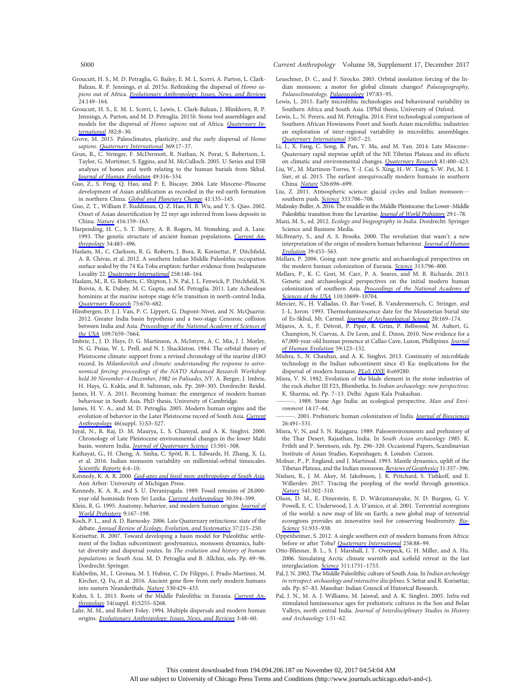Groucutt, H. S., M. D. Petraglia, G. Bailey, E. M. L. Scerri, A. Parton, L. Clark-Balzan, R. P. Jennings, et al. 2015a. Rethinking the dispersal of Homo sapiens out of Africa. [Evolutionary Anthropology: Issues, News, and Reviews](http://www.journals.uchicago.edu/action/showLinks?doi=10.1086%2F693462&crossref=10.1002%2Fevan.21455&citationId=p_48) 24:149–164.

- Groucutt, H. S., E. M. L. Scerri, L. Lewis, L. Clark-Balzan, J. Blinkhorn, R. P. Jennings, A. Parton, and M. D. Petraglia. 2015b. Stone tool assemblages and models for the dispersal of Homo sapiens out of Africa. [Quaternary In](http://www.journals.uchicago.edu/action/showLinks?doi=10.1086%2F693462&crossref=10.1016%2Fj.quaint.2015.01.039&citationId=p_49)[ternational](http://www.journals.uchicago.edu/action/showLinks?doi=10.1086%2F693462&crossref=10.1016%2Fj.quaint.2015.01.039&citationId=p_49) 382:8–30.
- Grove, M. 2015. Paleoclimates, plasticity, and the early dispersal of Homo sapiens. [Quaternary International](http://www.journals.uchicago.edu/action/showLinks?doi=10.1086%2F693462&crossref=10.1016%2Fj.quaint.2014.08.019&citationId=p_50) 369:17-37.
- Grun, R., C. Stringer, F. McDermott, R. Nathan, N. Porat, S. Robertson, L. Taylor, G. Mortimer, S. Eggins, and M. McCulloch. 2005. U-Series and ESR analyses of bones and teeth relating to the human burials from Skhul. [Journal of Human Evolution](http://www.journals.uchicago.edu/action/showLinks?doi=10.1086%2F693462&crossref=10.1016%2Fj.jhevol.2005.04.006&citationId=p_51) 49:316–334.
- Guo, Z., S. Peng, Q. Hao, and P. E. Biscaye. 2004. Late Miocene–Pliocene development of Asian aridification as recorded in the red-earth formation in northern China. [Global and Planetary Change](http://www.journals.uchicago.edu/action/showLinks?doi=10.1086%2F693462&crossref=10.1016%2Fj.gloplacha.2004.01.002&citationId=p_52) 41:135-145.
- Guo, Z. T., William F. Ruddiman, Q. Z. Hao, H. B. Wu, and Y. S. Qiao. 2002. Onset of Asian desertification by 22 myr ago inferred from loess deposits in China. [Nature](http://www.journals.uchicago.edu/action/showLinks?doi=10.1086%2F693462&crossref=10.1038%2F416159a&citationId=p_53) 416:159–163.
- Harpending, H. C., S. T. Sherry, A. R. Rogers, M. Stoneking, and A. Lane. 1993. The genetic structure of ancient human populations. [Current An](http://www.journals.uchicago.edu/action/showLinks?doi=10.1086%2F693462&system=10.1086%2F204195&citationId=p_55)[thropology](http://www.journals.uchicago.edu/action/showLinks?doi=10.1086%2F693462&system=10.1086%2F204195&citationId=p_55) 34:483-496.
- Haslam, M., C. Clarkson, R. G. Roberts, J. Bora, R. Korisettar, P. Ditchfield, A. R. Chivas, et al. 2012. A southern Indian Middle Paleolithic occupation surface sealed by the 74 Ka Toba eruption: further evidence from Jwalapuram Locality 22. [Quaternary International](http://www.journals.uchicago.edu/action/showLinks?doi=10.1086%2F693462&crossref=10.1016%2Fj.quaint.2011.08.040&citationId=p_56) 258:148–164.
- Haslam, M., R. G. Roberts, C. Shipton, J. N. Pal, J. L. Fenwick, P. Ditchfield, N. Boivin, A. K. Dubey, M. C. Gupta, and M. Petraglia. 2011. Late Acheulean hominins at the marine isotope stage 6/5e transition in north-central India. [Quaternary Research](http://www.journals.uchicago.edu/action/showLinks?doi=10.1086%2F693462&crossref=10.1016%2Fj.yqres.2011.02.001&citationId=p_57) 75:670–682.
- Hinsbergen, D. J. J. Van, P. C. Lippert, G. Dupont-Nivet, and N. McQuarrie. 2012. Greater India basin hypothesis and a two-stage Cenozoic collision between India and Asia. [Proceedings of the National Academy of Sciences of](http://www.journals.uchicago.edu/action/showLinks?doi=10.1086%2F693462&crossref=10.1073%2Fpnas.1117262109&citationId=p_59) [the USA](http://www.journals.uchicago.edu/action/showLinks?doi=10.1086%2F693462&crossref=10.1073%2Fpnas.1117262109&citationId=p_59) 109:7659–7664.
- Imbrie, J., J. D. Hays, D. G. Martinson, A. McIntyre, A. C. Mix, J. J. Morley, N. G. Pisias, W. L. Prell, and N. J. Shackleton. 1984. The orbital theory of Pleistocene climate: support from a revised chronology of the marine d18O record. In Milankovitch and climate: understanding the response to astronomical forcing: proceedings of the NATO Advanced Research Workshop held 30 November–4 December, 1982 in Palisades, NY. A. Berger, J. Imbrie, H. Hays, G. Kukla, and B. Saltzman, eds. Pp. 269–305. Dordrecht: Reidel.
- James, H. V. A. 2011. Becoming human: the emergence of modern human behaviour in South Asia. PhD thesis, University of Cambridge.
- James, H. V. A., and M. D. Petraglia. 2005. Modern human origins and the evolution of behavior in the Later Pleistocene record of South Asia. [Current](http://www.journals.uchicago.edu/action/showLinks?doi=10.1086%2F693462&system=10.1086%2F444365&citationId=p_62) [Anthropology](http://www.journals.uchicago.edu/action/showLinks?doi=10.1086%2F693462&system=10.1086%2F444365&citationId=p_62) 46(suppl. 5):S3–S27.
- Juyal, N., R. Raj, D. M. Maurya, L. S. Chamyal, and A. K. Singhvi. 2000. Chronology of Late Pleistocene environmental changes in the lower Mahi basin, western India. *[Journal of Quaternary Science](http://www.journals.uchicago.edu/action/showLinks?doi=10.1086%2F693462&crossref=10.1002%2F1099-1417%28200007%2915%3A5%3C501%3A%3AAID-JQS528%3E3.0.CO%3B2-J&citationId=p_63)* 15:501-508.
- Kathayat, G., H. Cheng, A. Sinha, C. Spötl, R. L. Edwards, H. Zhang, X. Li, et al. 2016. Indian monsoon variability on millennial-orbital timescales. Scientifi[c Reports](http://www.journals.uchicago.edu/action/showLinks?doi=10.1086%2F693462&crossref=10.1038%2Fsrep24374&citationId=p_64) 6:4-10.
- Kennedy, K. A. R. 2000. [God-apes and fossil men: anthropology of South Asia](http://www.journals.uchicago.edu/action/showLinks?doi=10.1086%2F693462&crossref=10.3998%2Fmpub.16180&citationId=p_65). Ann Arbor: University of Michigan Press.
- Kennedy, K. A. R., and S. U. Deraniyagala. 1989. Fossil remains of 28,000 year-old hominids from Sri Lanka. [Current Anthropology](http://www.journals.uchicago.edu/action/showLinks?doi=10.1086%2F693462&system=10.1086%2F203757&citationId=p_66) 30:394–399.
- Klein, R. G. 1995. Anatomy, behavior, and modern human origins. [Journal of](http://www.journals.uchicago.edu/action/showLinks?doi=10.1086%2F693462&crossref=10.1007%2FBF02221838&citationId=p_67) [World Prehistory](http://www.journals.uchicago.edu/action/showLinks?doi=10.1086%2F693462&crossref=10.1007%2FBF02221838&citationId=p_67) 9:167–198.
- Koch, P. L., and A. D. Barnosky. 2006. Late Quaternary extinctions: state of the debate. **[Annual Review of Ecology, Evolution, and Systematics](http://www.journals.uchicago.edu/action/showLinks?doi=10.1086%2F693462&crossref=10.1146%2Fannurev.ecolsys.34.011802.132415&citationId=p_68) 37:215-250.**
- Korisettar, R. 2007. Toward developing a basin model for Paleolithic settlement of the Indian subcontinent: geodynamics, monsoon dynamics, habitat diversity and dispersal routes. In The evolution and history of human populations in South Asia. M. D. Petraglia and B. Allchin, eds. Pp. 69–96. Dordrecht: Springer.
- Kuhlwilm, M., I. Gronau, M. J. Hubisz, C. De Filippo, J. Prado-Martinez, M. Kircher, Q. Fu, et al. 2016. Ancient gene flow from early modern humans into eastern Neanderthals. [Nature](http://www.journals.uchicago.edu/action/showLinks?doi=10.1086%2F693462&crossref=10.1038%2Fnature16544&citationId=p_70) 530:429–433.
- Kuhn, S. L. 2013. Roots of the Middle Paleolithic in Eurasia. [Current An](http://www.journals.uchicago.edu/action/showLinks?doi=10.1086%2F693462&system=10.1086%2F673529&citationId=p_71)[thropology](http://www.journals.uchicago.edu/action/showLinks?doi=10.1086%2F693462&system=10.1086%2F673529&citationId=p_71) 54(suppl. 8):S255–S268.
- Lahr, M. M., and Robert Foley. 1994. Multiple dispersals and modern human origins. [Evolutionary Anthropology: Issues, News, and Reviews](http://www.journals.uchicago.edu/action/showLinks?doi=10.1086%2F693462&crossref=10.1002%2Fevan.1360030206&citationId=p_72) 3:48–60.

S000 Current Anthropology Volume 58, Supplement 17, December 2017

- Leuschner, D. C., and F. Sirocko. 2003. Orbital insolation forcing of the Indian monsoon: a motor for global climate changes? Palaeogeography, Palaeoclimatology, [Palaeoecology](http://www.journals.uchicago.edu/action/showLinks?doi=10.1086%2F693462&crossref=10.1016%2FS0031-0182%2803%2900387-0&citationId=p_73) 197:83–95.
- Lewis, L. 2015. Early microlithic technologies and behavioural variability in Southern Africa and South Asia. DPhil thesis, University of Oxford.
- Lewis, L., N. Perera, and M. Petraglia. 2014. First technological comparison of Southern African Howiesons Poort and South Asian microlithic industries: an exploration of inter-regional variability in microlithic assemblages. [Quaternary International](http://www.journals.uchicago.edu/action/showLinks?doi=10.1086%2F693462&crossref=10.1016%2Fj.quaint.2014.09.013&citationId=p_75) 350:7–25.
- Li, J., X. Fang, C. Song, B. Pan, Y. Ma, and M. Yan. 2014. Late Miocene– Quaternary rapid stepwise uplift of the NE Tibetan Plateau and its effects on climatic and environmental changes. [Quaternary Research](http://www.journals.uchicago.edu/action/showLinks?doi=10.1086%2F693462&crossref=10.1016%2Fj.yqres.2014.01.002&citationId=p_76) 81:400-423.
- Liu, W., M. Martinon-Torres, Y.-J. Cai, S. Xing, H.-W. Tong, S.-W. Pei, M. J. Sier, et al. 2015. The earliest unequivocally modern humans in southern China. [Nature](http://www.journals.uchicago.edu/action/showLinks?doi=10.1086%2F693462&crossref=10.1038%2Fnature15696&citationId=p_77) 526:696–699.
- Liu, Z. 2011. Atmospheric science: glacial cycles and Indian monsoon— southern push. [Science](http://www.journals.uchicago.edu/action/showLinks?doi=10.1086%2F693462&crossref=10.1126%2Fscience.1210019&citationId=p_78) 333:706-708.
- Malinsky-Buller, A. 2016. The muddle in the Middle Pleistocene: the Lower–Middle Paleolithic transition from the Levantine. [Journal of World Prehistory](http://www.journals.uchicago.edu/action/showLinks?doi=10.1086%2F693462&crossref=10.1007%2Fs10963-016-9092-1&citationId=p_79) 29:1-78.
- Mani, M. S., ed. 2012. Ecology and biogeography in India. Dordrecht: Springer Science and Business Media.
- McBrearty, S., and A. S. Brooks. 2000. The revolution that wasn't: a new interpretation of the origin of modern human behaviour. [Journal of Human](http://www.journals.uchicago.edu/action/showLinks?doi=10.1086%2F693462&crossref=10.1006%2Fjhev.2000.0435&citationId=p_81) [Evolution](http://www.journals.uchicago.edu/action/showLinks?doi=10.1086%2F693462&crossref=10.1006%2Fjhev.2000.0435&citationId=p_81) 39:453–563.
- Mellars, P. 2006. Going east: new genetic and archaeological perspectives on the modern human colonization of Eurasia. [Science](http://www.journals.uchicago.edu/action/showLinks?doi=10.1086%2F693462&crossref=10.1126%2Fscience.1128402&citationId=p_82) 313:796-800.
- Mellars, P., K. C. Gori, M. Carr, P. A. Soares, and M. B. Richards. 2013. Genetic and archaeological perspectives on the initial modern human colonization of southern Asia. [Proceedings of the National Academy of](http://www.journals.uchicago.edu/action/showLinks?doi=10.1086%2F693462&crossref=10.1073%2Fpnas.1306043110&citationId=p_83) [Sciences of the USA](http://www.journals.uchicago.edu/action/showLinks?doi=10.1086%2F693462&crossref=10.1073%2Fpnas.1306043110&citationId=p_83) 110:10699-10704.
- Mercier, N., H. Valladas, O. Bar-Yosef, B. Vandermeersch, C. Stringer, and J.-L. Joron. 1993. Thermoluminescence date for the Mousterian burial site of Es-Skhul, Mt. Carmel. [Journal of Archaeological Science](http://www.journals.uchicago.edu/action/showLinks?doi=10.1086%2F693462&crossref=10.1006%2Fjasc.1993.1012&citationId=p_84) 20:169–174.
- Mijares, A. S., F. Détroit, P. Piper, R. Grün, P. Bellwood, M. Aubert, G. Champion, N. Cuevas, A. De Leon, and E. Dizon. 2010. New evidence for a 67,000-year-old human presence at Callao Cave, Luzon, Phillipines. [Journal](http://www.journals.uchicago.edu/action/showLinks?doi=10.1086%2F693462&crossref=10.1016%2Fj.jhevol.2010.04.008&citationId=p_85) [of Human Evolution](http://www.journals.uchicago.edu/action/showLinks?doi=10.1086%2F693462&crossref=10.1016%2Fj.jhevol.2010.04.008&citationId=p_85) 59:123–132.
- Mishra, S., N. Chauhan, and A. K. Singhvi. 2013. Continuity of microblade technology in the Indian subcontinent since 45 Ka: implications for the dispersal of modern humans. [PLoS ONE](http://www.journals.uchicago.edu/action/showLinks?doi=10.1086%2F693462&crossref=10.1371%2Fjournal.pone.0069280&citationId=p_86) 8:e69280.
- Misra, V. N. 1982. Evolution of the blade element in the stone industries of the rock shelter III F23, Bhimbetka. In Indian archaeology: new perspectives. K. Sharma, ed. Pp. 7–13. Delhi: Agam Kala Prakashan.
- -. 1989. Stone Age India: an ecological perspective. Man and Environment 14:17–64.
- 2001. Prehistoric human colonization of India. *[Journal of Biosciences](http://www.journals.uchicago.edu/action/showLinks?doi=10.1086%2F693462&crossref=10.1007%2FBF02704749&citationId=p_89)* 26:491–531.
- Misra, V. N, and S. N. Rajaguru. 1989. Paleoenvironments and prehistory of the Thar Desert, Rajasthan, India. In South Asian archaeology 1985. K. Frifelt and P. Sørensen, eds. Pp. 296–320. Occasional Papers, Scandinavian Institute of Asian Studies, Kopenhagen, 8. London: Curzon.
- Molnar, P., P. England, and J. Martinod. 1993. Mantle dynamics, uplift of the Tibetan Plateau, and the Indian monsoon. [Reviews of Geophysics](http://www.journals.uchicago.edu/action/showLinks?doi=10.1086%2F693462&crossref=10.1029%2F93RG02030&citationId=p_91) 31:357–396.
- Nielsen, R., J. M. Akey, M. Jakobsson, J. K. Pritchard, S. Tishkoff, and E. Willerslev. 2017. Tracing the peopling of the world through genomics. [Nature](http://www.journals.uchicago.edu/action/showLinks?doi=10.1086%2F693462&crossref=10.1038%2Fnature21347&citationId=p_92) 541:302–310.
- Olson, D. M., E. Dinerstein, E. D. Wikramanayake, N. D. Burgess, G. V. Powell, E. C. Underwood, J. A. D'amico, et al. 2001. Terrestrial ecoregions of the world: a new map of life on Earth; a new global map of terrestrial ecoregions provides an innovative tool for conserving biodiversity. [Bio-](http://www.journals.uchicago.edu/action/showLinks?doi=10.1086%2F693462&crossref=10.1641%2F0006-3568%282001%29051%5B0933%3ATEOTWA%5D2.0.CO%3B2&citationId=p_93)[Science](http://www.journals.uchicago.edu/action/showLinks?doi=10.1086%2F693462&crossref=10.1641%2F0006-3568%282001%29051%5B0933%3ATEOTWA%5D2.0.CO%3B2&citationId=p_93) 51:933-938.
- Oppenheimer, S. 2012. A single southern exit of modern humans from Africa: before or after Toba? [Quaternary International](http://www.journals.uchicago.edu/action/showLinks?doi=10.1086%2F693462&crossref=10.1016%2Fj.quaint.2011.07.049&citationId=p_94) 258:88-99.
- Otto-Bliesner, B. L., S. J. Marshall, J. T. Overpeck, G. H. Miller, and A. Hu. 2006. Simulating Arctic climate warmth and icefield retreat in the last interglaciation. [Science](http://www.journals.uchicago.edu/action/showLinks?doi=10.1086%2F693462&crossref=10.1126%2Fscience.1120808&citationId=p_96) 311:1751–1753.
- Pal, J. N. 2002. The Middle Paleolithic culture of South Asia. In Indian archeology in retrospect: archaeology and interactive disciplines. S. Settar and R. Korisettar, eds. Pp. 67–83. Manohar: Indian Council of Historical Research.
- Pal, J. N., M. A. J. Williams, M. Jaiswal, and A. K. Singhvi. 2005. Infra-red stimulated luminescence ages for prehistoric cultures in the Son and Belan Valleys, north central India. Journal of Interdisciplinary Studies in History and Archaeology 1:51–62.